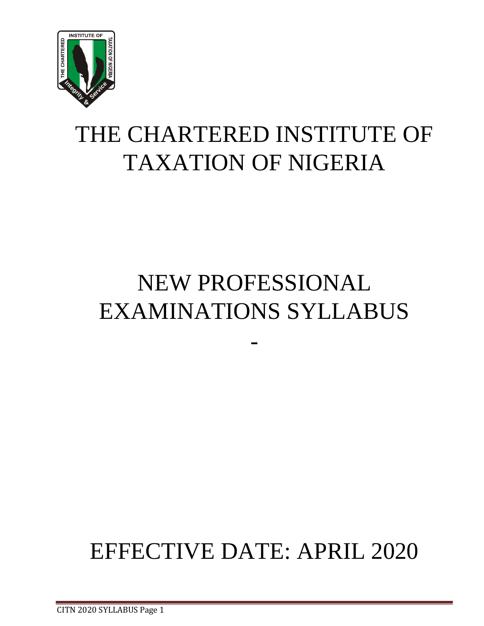

# THE CHARTERED INSTITUTE OF TAXATION OF NIGERIA

# NEW PROFESSIONAL EXAMINATIONS SYLLABUS

-

# EFFECTIVE DATE: APRIL 2020

CITN 2020 SYLLABUS Page 1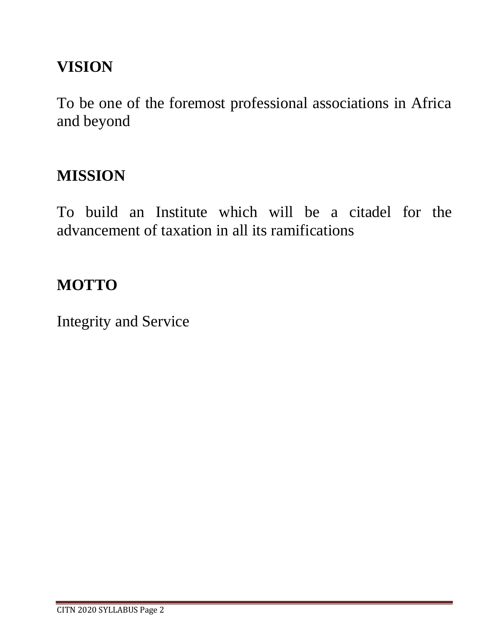# **VISION**

To be one of the foremost professional associations in Africa and beyond

# **MISSION**

To build an Institute which will be a citadel for the advancement of taxation in all its ramifications

# **MOTTO**

Integrity and Service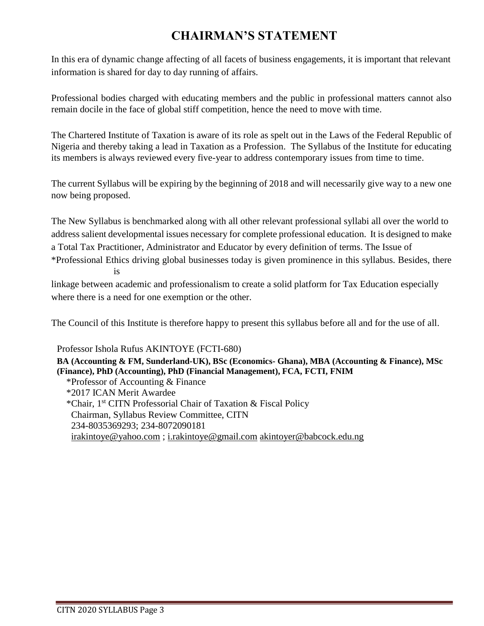# **CHAIRMAN'S STATEMENT**

In this era of dynamic change affecting of all facets of business engagements, it is important that relevant information is shared for day to day running of affairs.

Professional bodies charged with educating members and the public in professional matters cannot also remain docile in the face of global stiff competition, hence the need to move with time.

The Chartered Institute of Taxation is aware of its role as spelt out in the Laws of the Federal Republic of Nigeria and thereby taking a lead in Taxation as a Profession. The Syllabus of the Institute for educating its members is always reviewed every five-year to address contemporary issues from time to time.

The current Syllabus will be expiring by the beginning of 2018 and will necessarily give way to a new one now being proposed.

The New Syllabus is benchmarked along with all other relevant professional syllabi all over the world to address salient developmental issues necessary for complete professional education. It is designed to make a Total Tax Practitioner, Administrator and Educator by every definition of terms. The Issue of

\*Professional Ethics driving global businesses today is given prominence in this syllabus. Besides, there is

linkage between academic and professionalism to create a solid platform for Tax Education especially where there is a need for one exemption or the other.

The Council of this Institute is therefore happy to present this syllabus before all and for the use of all.

Professor Ishola Rufus AKINTOYE (FCTI-680)

**BA (Accounting & FM, Sunderland-UK), BSc (Economics- Ghana), MBA (Accounting & Finance), MSc (Finance), PhD (Accounting), PhD (Financial Management), FCA, FCTI, FNIM** \*Professor of Accounting & Finance \*2017 ICAN Merit Awardee \*Chair, 1st CITN Professorial Chair of Taxation & Fiscal Policy Chairman, Syllabus Review Committee, CITN 234-8035369293; 234-8072090181 [irakintoye@yahoo.com](mailto:irakintoye@yahoo.com) ; [i.rakintoye@gmail.com](mailto:i.rakintoye@gmail.com) [akintoyer@babcock.edu.ng](mailto:akintoyer@babcock.edu.ng)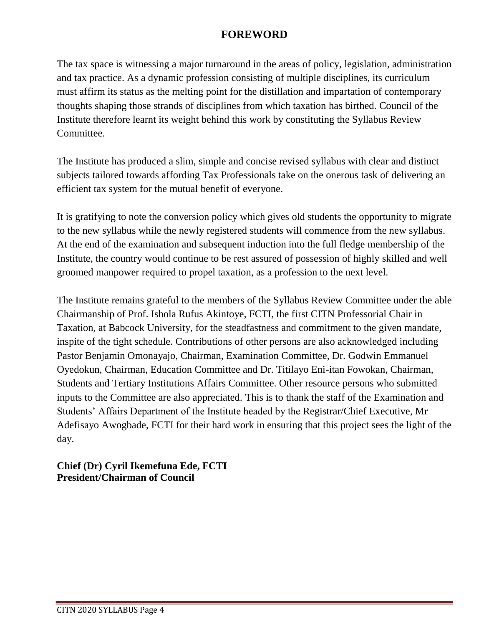# **FOREWORD**

The tax space is witnessing a major turnaround in the areas of policy, legislation, administration and tax practice. As a dynamic profession consisting of multiple disciplines, its curriculum must affirm its status as the melting point for the distillation and impartation of contemporary thoughts shaping those strands of disciplines from which taxation has birthed. Council of the Institute therefore learnt its weight behind this work by constituting the Syllabus Review Committee.

The Institute has produced a slim, simple and concise revised syllabus with clear and distinct subjects tailored towards affording Tax Professionals take on the onerous task of delivering an efficient tax system for the mutual benefit of everyone.

It is gratifying to note the conversion policy which gives old students the opportunity to migrate to the new syllabus while the newly registered students will commence from the new syllabus. At the end of the examination and subsequent induction into the full fledge membership of the Institute, the country would continue to be rest assured of possession of highly skilled and well groomed manpower required to propel taxation, as a profession to the next level.

The Institute remains grateful to the members of the Syllabus Review Committee under the able Chairmanship of Prof. Ishola Rufus Akintoye, FCTI, the first CITN Professorial Chair in Taxation, at Babcock University, for the steadfastness and commitment to the given mandate, inspite of the tight schedule. Contributions of other persons are also acknowledged including Pastor Benjamin Omonayajo, Chairman, Examination Committee, Dr. Godwin Emmanuel Oyedokun, Chairman, Education Committee and Dr. Titilayo Eni-itan Fowokan, Chairman, Students and Tertiary Institutions Affairs Committee. Other resource persons who submitted inputs to the Committee are also appreciated. This is to thank the staff of the Examination and Students' Affairs Department of the Institute headed by the Registrar/Chief Executive, Mr Adefisayo Awogbade, FCTI for their hard work in ensuring that this project sees the light of the day.

## **Chief (Dr) Cyril Ikemefuna Ede, FCTI President/Chairman of Council**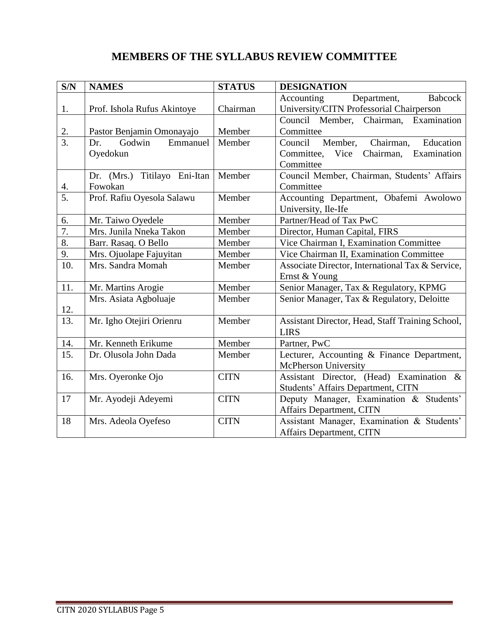# **MEMBERS OF THE SYLLABUS REVIEW COMMITTEE**

| S/N              | <b>NAMES</b>                 | <b>STATUS</b> | <b>DESIGNATION</b>                               |
|------------------|------------------------------|---------------|--------------------------------------------------|
|                  |                              |               | Department,<br>Babcock<br>Accounting             |
| 1.               | Prof. Ishola Rufus Akintoye  | Chairman      | University/CITN Professorial Chairperson         |
|                  |                              |               | Council Member, Chairman, Examination            |
| $\frac{2}{3}$ .  | Pastor Benjamin Omonayajo    | Member        | Committee                                        |
|                  | Godwin<br>Emmanuel<br>Dr.    | Member        | Chairman,<br>Education<br>Member,<br>Council     |
|                  | Oyedokun                     |               | Examination<br>Committee, Vice<br>Chairman,      |
|                  |                              |               | Committee                                        |
|                  | Dr. (Mrs.) Titilayo Eni-Itan | Member        | Council Member, Chairman, Students' Affairs      |
| $\frac{4}{5}$    | Fowokan                      |               | Committee                                        |
|                  | Prof. Rafiu Oyesola Salawu   | Member        | Accounting Department, Obafemi Awolowo           |
|                  |                              |               | University, Ile-Ife                              |
| 6.               | Mr. Taiwo Oyedele            | Member        | Partner/Head of Tax PwC                          |
| $\overline{7}$ . | Mrs. Junila Nneka Takon      | Member        | Director, Human Capital, FIRS                    |
| 8.               | Barr. Rasaq. O Bello         | Member        | Vice Chairman I, Examination Committee           |
| 9.               | Mrs. Ojuolape Fajuyitan      | Member        | Vice Chairman II, Examination Committee          |
| 10.              | Mrs. Sandra Momah            | Member        | Associate Director, International Tax & Service, |
|                  |                              |               | Ernst & Young                                    |
| 11.              | Mr. Martins Arogie           | Member        | Senior Manager, Tax & Regulatory, KPMG           |
|                  | Mrs. Asiata Agboluaje        | Member        | Senior Manager, Tax & Regulatory, Deloitte       |
| 12.              |                              |               |                                                  |
| 13.              | Mr. Igho Otejiri Orienru     | Member        | Assistant Director, Head, Staff Training School, |
|                  |                              |               | <b>LIRS</b>                                      |
| 14.              | Mr. Kenneth Erikume          | Member        | Partner, PwC                                     |
| 15.              | Dr. Olusola John Dada        | Member        | Lecturer, Accounting & Finance Department,       |
|                  |                              |               | <b>McPherson University</b>                      |
| 16.              | Mrs. Oyeronke Ojo            | <b>CITN</b>   | Assistant Director, (Head) Examination &         |
|                  |                              |               | Students' Affairs Department, CITN               |
| 17               | Mr. Ayodeji Adeyemi          | <b>CITN</b>   | Deputy Manager, Examination & Students'          |
|                  |                              |               | Affairs Department, CITN                         |
| 18               | Mrs. Adeola Oyefeso          | <b>CITN</b>   | Assistant Manager, Examination & Students'       |
|                  |                              |               | Affairs Department, CITN                         |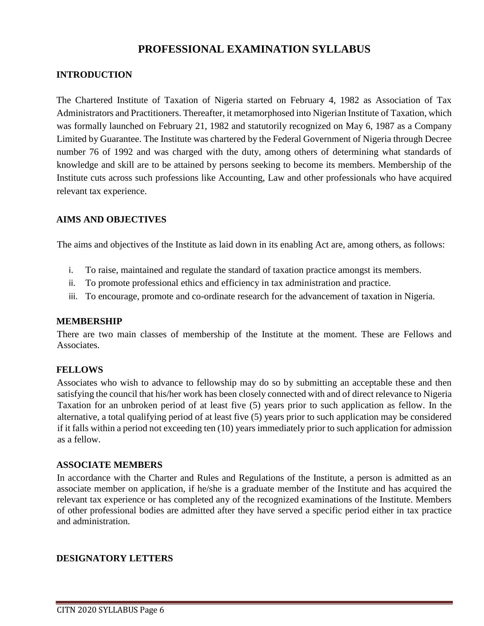# **PROFESSIONAL EXAMINATION SYLLABUS**

#### **INTRODUCTION**

The Chartered Institute of Taxation of Nigeria started on February 4, 1982 as Association of Tax Administrators and Practitioners. Thereafter, it metamorphosed into Nigerian Institute of Taxation, which was formally launched on February 21, 1982 and statutorily recognized on May 6, 1987 as a Company Limited by Guarantee. The Institute was chartered by the Federal Government of Nigeria through Decree number 76 of 1992 and was charged with the duty, among others of determining what standards of knowledge and skill are to be attained by persons seeking to become its members. Membership of the Institute cuts across such professions like Accounting, Law and other professionals who have acquired relevant tax experience.

#### **AIMS AND OBJECTIVES**

The aims and objectives of the Institute as laid down in its enabling Act are, among others, as follows:

- i. To raise, maintained and regulate the standard of taxation practice amongst its members.
- ii. To promote professional ethics and efficiency in tax administration and practice.
- iii. To encourage, promote and co-ordinate research for the advancement of taxation in Nigeria.

#### **MEMBERSHIP**

There are two main classes of membership of the Institute at the moment. These are Fellows and Associates.

#### **FELLOWS**

Associates who wish to advance to fellowship may do so by submitting an acceptable these and then satisfying the council that his/her work has been closely connected with and of direct relevance to Nigeria Taxation for an unbroken period of at least five (5) years prior to such application as fellow. In the alternative, a total qualifying period of at least five (5) years prior to such application may be considered if it falls within a period not exceeding ten (10) years immediately prior to such application for admission as a fellow.

#### **ASSOCIATE MEMBERS**

In accordance with the Charter and Rules and Regulations of the Institute, a person is admitted as an associate member on application, if he/she is a graduate member of the Institute and has acquired the relevant tax experience or has completed any of the recognized examinations of the Institute. Members of other professional bodies are admitted after they have served a specific period either in tax practice and administration.

#### **DESIGNATORY LETTERS**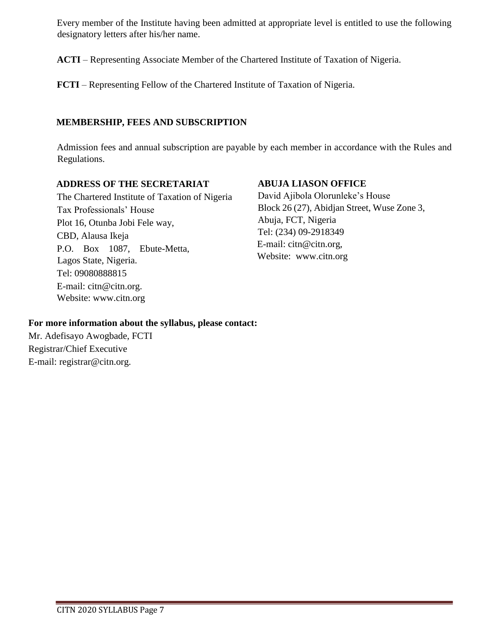Every member of the Institute having been admitted at appropriate level is entitled to use the following designatory letters after his/her name.

**ACTI** – Representing Associate Member of the Chartered Institute of Taxation of Nigeria.

**FCTI** – Representing Fellow of the Chartered Institute of Taxation of Nigeria.

#### **MEMBERSHIP, FEES AND SUBSCRIPTION**

Admission fees and annual subscription are payable by each member in accordance with the Rules and Regulations.

#### **ADDRESS OF THE SECRETARIAT**

The Chartered Institute of Taxation of Nigeria Tax Professionals' House Plot 16, Otunba Jobi Fele way, CBD, Alausa Ikeja P.O. Box 1087, Ebute-Metta, Lagos State, Nigeria. Tel: 09080888815 E-mail: citn@citn.org. Website: [www.citn.org](http://www.citn.org/)

#### **ABUJA LIASON OFFICE**

David Ajibola Olorunleke's House Block 26 (27), Abidjan Street, Wuse Zone 3, Abuja, FCT, Nigeria Tel: (234) 09-2918349 E-mail: citn@citn.org, Website: [www.citn.org](http://www.citn.org/)

#### **For more information about the syllabus, please contact:**

Mr. Adefisayo Awogbade, FCTI Registrar/Chief Executive E-mail: registrar@citn.org.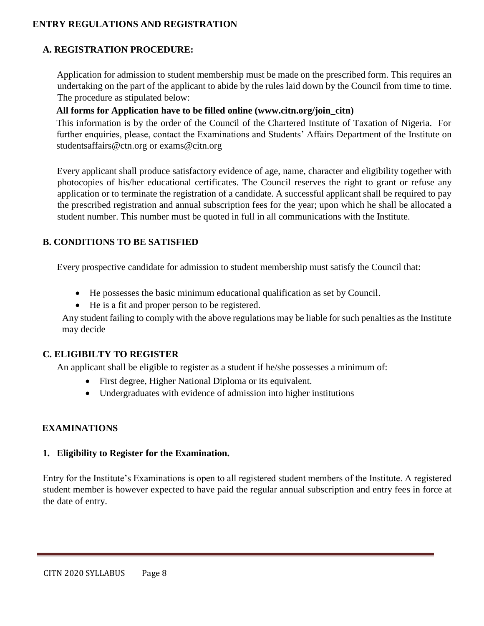#### **ENTRY REGULATIONS AND REGISTRATION**

#### **A. REGISTRATION PROCEDURE:**

Application for admission to student membership must be made on the prescribed form. This requires an undertaking on the part of the applicant to abide by the rules laid down by the Council from time to time. The procedure as stipulated below:

#### **All forms for Application have to be filled online [\(www.citn.org/join\\_citn\)](http://www.citn.org/join_citn)**

This information is by the order of the Council of the Chartered Institute of Taxation of Nigeria. For further enquiries, please, contact the Examinations and Students' Affairs Department of the Institute on studentsaffairs@ctn.org or [exams@citn.org](mailto:exams@citn.org)

Every applicant shall produce satisfactory evidence of age, name, character and eligibility together with photocopies of his/her educational certificates. The Council reserves the right to grant or refuse any application or to terminate the registration of a candidate. A successful applicant shall be required to pay the prescribed registration and annual subscription fees for the year; upon which he shall be allocated a student number. This number must be quoted in full in all communications with the Institute.

#### **B. CONDITIONS TO BE SATISFIED**

Every prospective candidate for admission to student membership must satisfy the Council that:

- He possesses the basic minimum educational qualification as set by Council.
- He is a fit and proper person to be registered.

Any student failing to comply with the above regulations may be liable for such penalties as the Institute may decide

#### **C. ELIGIBILTY TO REGISTER**

An applicant shall be eligible to register as a student if he/she possesses a minimum of:

- First degree, Higher National Diploma or its equivalent.
- Undergraduates with evidence of admission into higher institutions

#### **EXAMINATIONS**

#### **1. Eligibility to Register for the Examination.**

Entry for the Institute's Examinations is open to all registered student members of the Institute. A registered student member is however expected to have paid the regular annual subscription and entry fees in force at the date of entry.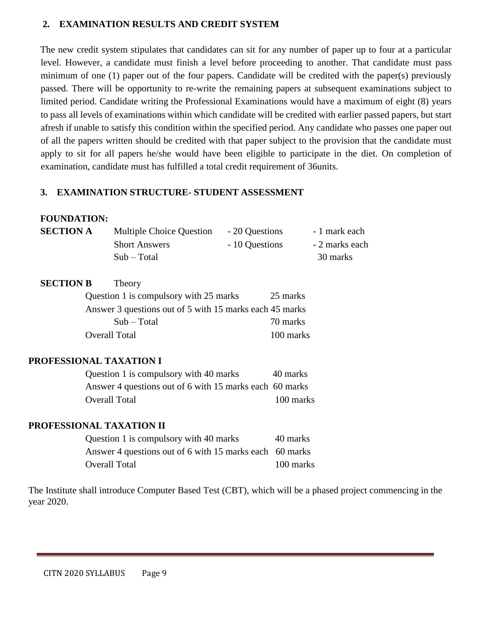#### **2. EXAMINATION RESULTS AND CREDIT SYSTEM**

The new credit system stipulates that candidates can sit for any number of paper up to four at a particular level. However, a candidate must finish a level before proceeding to another. That candidate must pass minimum of one (1) paper out of the four papers. Candidate will be credited with the paper(s) previously passed. There will be opportunity to re-write the remaining papers at subsequent examinations subject to limited period. Candidate writing the Professional Examinations would have a maximum of eight (8) years to pass all levels of examinations within which candidate will be credited with earlier passed papers, but start afresh if unable to satisfy this condition within the specified period. Any candidate who passes one paper out of all the papers written should be credited with that paper subject to the provision that the candidate must apply to sit for all papers he/she would have been eligible to participate in the diet. On completion of examination, candidate must has fulfilled a total credit requirement of 36units.

#### **3. EXAMINATION STRUCTURE- STUDENT ASSESSMENT**

#### **FOUNDATION:**

| <b>SECTION A</b> | <b>Multiple Choice Question</b> | - 20 Questions | - 1 mark each  |
|------------------|---------------------------------|----------------|----------------|
|                  | <b>Short Answers</b>            | - 10 Questions | - 2 marks each |
|                  | $Sub - Total$                   |                | 30 marks       |

| <b>SECTION B</b> | Theory                                                  |           |
|------------------|---------------------------------------------------------|-----------|
|                  | Question 1 is compulsory with 25 marks                  | 25 marks  |
|                  | Answer 3 questions out of 5 with 15 marks each 45 marks |           |
|                  | $Sub - Total$                                           | 70 marks  |
|                  | <b>Overall Total</b>                                    | 100 marks |

#### **PROFESSIONAL TAXATION I**

| Question 1 is compulsory with 40 marks                  | 40 marks  |
|---------------------------------------------------------|-----------|
| Answer 4 questions out of 6 with 15 marks each 60 marks |           |
| Overall Total                                           | 100 marks |

#### **PROFESSIONAL TAXATION II**

| Question 1 is compulsory with 40 marks                  | 40 marks  |
|---------------------------------------------------------|-----------|
| Answer 4 questions out of 6 with 15 marks each 60 marks |           |
| Overall Total                                           | 100 marks |

The Institute shall introduce Computer Based Test (CBT), which will be a phased project commencing in the year 2020.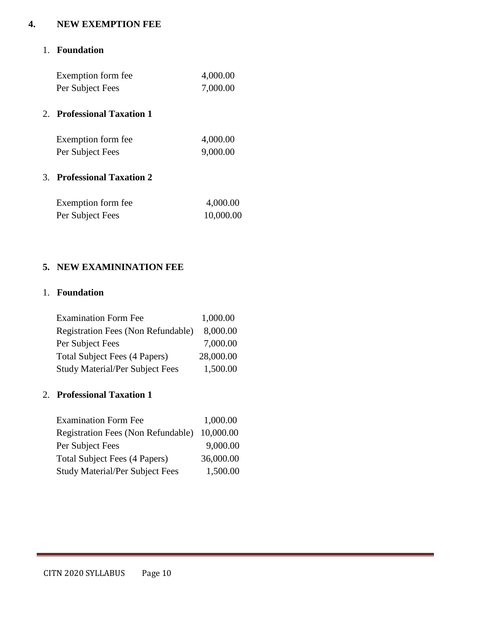#### **4. NEW EXEMPTION FEE**

#### 1. **Foundation**

| Exemption form fee | 4,000.00 |
|--------------------|----------|
| Per Subject Fees   | 7,000.00 |

#### 2. **Professional Taxation 1**

| Exemption form fee. | 4,000.00 |
|---------------------|----------|
| Per Subject Fees    | 9,000.00 |

#### 3. **Professional Taxation 2**

| Exemption form fee. | 4,000.00  |
|---------------------|-----------|
| Per Subject Fees    | 10,000.00 |

#### **5. NEW EXAMININATION FEE**

### 1. **Foundation**

| <b>Examination Form Fee</b>               | 1,000.00  |
|-------------------------------------------|-----------|
| <b>Registration Fees (Non Refundable)</b> | 8,000.00  |
| Per Subject Fees                          | 7,000.00  |
| Total Subject Fees (4 Papers)             | 28,000.00 |
| <b>Study Material/Per Subject Fees</b>    | 1,500.00  |

#### 2. **Professional Taxation 1**

| <b>Examination Form Fee</b>            | 1,000.00  |
|----------------------------------------|-----------|
| Registration Fees (Non Refundable)     | 10,000.00 |
| Per Subject Fees                       | 9,000.00  |
| Total Subject Fees (4 Papers)          | 36,000.00 |
| <b>Study Material/Per Subject Fees</b> | 1,500.00  |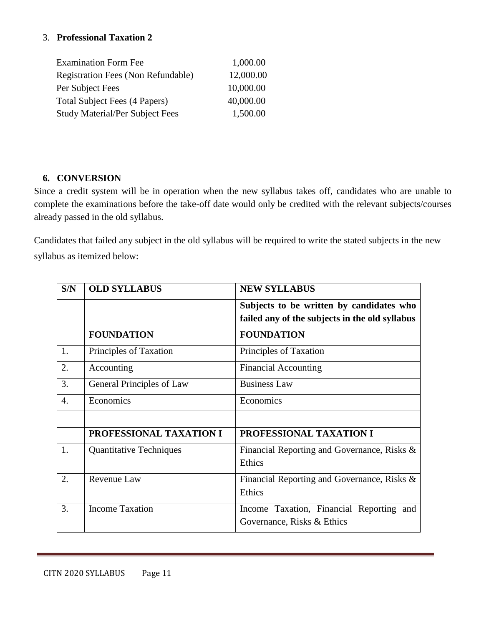#### 3. **Professional Taxation 2**

| <b>Examination Form Fee</b>               | 1,000.00  |
|-------------------------------------------|-----------|
| <b>Registration Fees (Non Refundable)</b> | 12,000.00 |
| Per Subject Fees                          | 10,000.00 |
| Total Subject Fees (4 Papers)             | 40,000.00 |
| <b>Study Material/Per Subject Fees</b>    | 1,500.00  |

#### **6. CONVERSION**

Since a credit system will be in operation when the new syllabus takes off, candidates who are unable to complete the examinations before the take-off date would only be credited with the relevant subjects/courses already passed in the old syllabus.

Candidates that failed any subject in the old syllabus will be required to write the stated subjects in the new syllabus as itemized below:

| S/N              | <b>OLD SYLLABUS</b>            | <b>NEW SYLLABUS</b>                            |
|------------------|--------------------------------|------------------------------------------------|
|                  |                                | Subjects to be written by candidates who       |
|                  |                                | failed any of the subjects in the old syllabus |
|                  | <b>FOUNDATION</b>              | <b>FOUNDATION</b>                              |
| 1.               | Principles of Taxation         | Principles of Taxation                         |
| 2.               | Accounting                     | <b>Financial Accounting</b>                    |
| 3.               | General Principles of Law      | <b>Business Law</b>                            |
| $\overline{4}$ . | Economics                      | Economics                                      |
|                  |                                |                                                |
|                  | PROFESSIONAL TAXATION I        | PROFESSIONAL TAXATION I                        |
| 1.               | <b>Quantitative Techniques</b> | Financial Reporting and Governance, Risks &    |
|                  |                                | Ethics                                         |
| 2.               | Revenue Law                    | Financial Reporting and Governance, Risks &    |
|                  |                                | Ethics                                         |
| 3.               | <b>Income Taxation</b>         | Income Taxation, Financial Reporting and       |
|                  |                                | Governance, Risks & Ethics                     |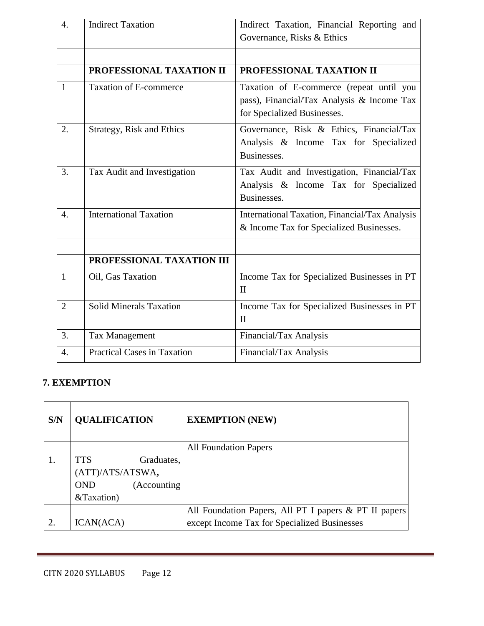| $\overline{4}$ . | <b>Indirect Taxation</b>           | Indirect Taxation, Financial Reporting and<br>Governance, Risks & Ethics                                              |
|------------------|------------------------------------|-----------------------------------------------------------------------------------------------------------------------|
|                  |                                    |                                                                                                                       |
|                  | PROFESSIONAL TAXATION II           | PROFESSIONAL TAXATION II                                                                                              |
| $\mathbf{1}$     | <b>Taxation of E-commerce</b>      | Taxation of E-commerce (repeat until you<br>pass), Financial/Tax Analysis & Income Tax<br>for Specialized Businesses. |
| 2.               | Strategy, Risk and Ethics          | Governance, Risk & Ethics, Financial/Tax<br>Analysis & Income Tax for Specialized<br>Businesses.                      |
| 3.               | Tax Audit and Investigation        | Tax Audit and Investigation, Financial/Tax<br>Analysis & Income Tax for Specialized<br>Businesses.                    |
| $\overline{4}$ . | <b>International Taxation</b>      | International Taxation, Financial/Tax Analysis<br>& Income Tax for Specialized Businesses.                            |
|                  |                                    |                                                                                                                       |
|                  | PROFESSIONAL TAXATION III          |                                                                                                                       |
| $\mathbf{1}$     | Oil, Gas Taxation                  | Income Tax for Specialized Businesses in PT<br>$\mathbf{I}$                                                           |
| $\overline{2}$   | <b>Solid Minerals Taxation</b>     | Income Tax for Specialized Businesses in PT<br>$\mathbf{I}$                                                           |
| 3.               | Tax Management                     | Financial/Tax Analysis                                                                                                |
| $\overline{4}$ . | <b>Practical Cases in Taxation</b> | Financial/Tax Analysis                                                                                                |

# **7. EXEMPTION**

| S/N            | <b>QUALIFICATION</b>       | <b>EXEMPTION (NEW)</b>                                |
|----------------|----------------------------|-------------------------------------------------------|
|                |                            | <b>All Foundation Papers</b>                          |
|                | <b>TTS</b><br>Graduates,   |                                                       |
|                | (ATT)/ATS/ATSWA,           |                                                       |
|                | (Accounting)<br><b>OND</b> |                                                       |
|                | &Taxation)                 |                                                       |
|                |                            | All Foundation Papers, All PT I papers & PT II papers |
| $\overline{2}$ | ICAN(ACA)                  | except Income Tax for Specialized Businesses          |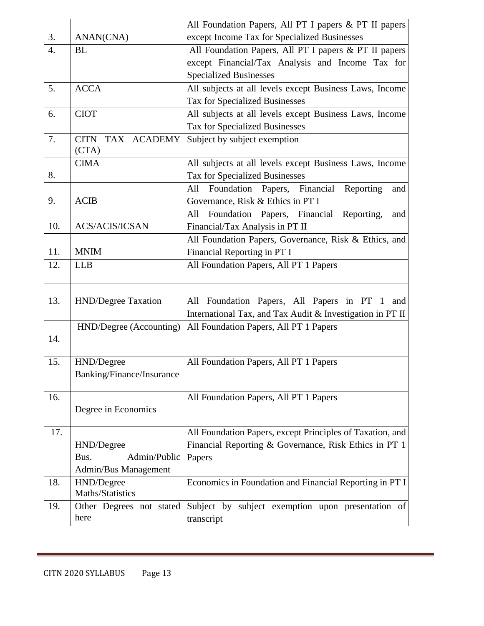|                  |                            | All Foundation Papers, All PT I papers & PT II papers     |
|------------------|----------------------------|-----------------------------------------------------------|
| 3.               | ANAN(CNA)                  | except Income Tax for Specialized Businesses              |
| $\overline{4}$ . | <b>BL</b>                  | All Foundation Papers, All PT I papers & PT II papers     |
|                  |                            | except Financial/Tax Analysis and Income Tax for          |
|                  |                            | <b>Specialized Businesses</b>                             |
| 5.               | <b>ACCA</b>                | All subjects at all levels except Business Laws, Income   |
|                  |                            | <b>Tax for Specialized Businesses</b>                     |
| 6.               | <b>CIOT</b>                | All subjects at all levels except Business Laws, Income   |
|                  |                            | Tax for Specialized Businesses                            |
| 7.               | <b>CITN</b><br>TAX ACADEMY | Subject by subject exemption                              |
|                  | (CTA)                      |                                                           |
|                  | <b>CIMA</b>                | All subjects at all levels except Business Laws, Income   |
| 8.               |                            | Tax for Specialized Businesses                            |
|                  |                            | Foundation Papers, Financial<br>Reporting<br>All<br>and   |
| 9.               | <b>ACIB</b>                | Governance, Risk & Ethics in PT I                         |
|                  |                            | Foundation Papers, Financial Reporting,<br>All<br>and     |
| 10.              | <b>ACS/ACIS/ICSAN</b>      | Financial/Tax Analysis in PT II                           |
|                  |                            | All Foundation Papers, Governance, Risk & Ethics, and     |
| 11.              | <b>MNIM</b>                | Financial Reporting in PT I                               |
| 12.              | <b>LLB</b>                 | All Foundation Papers, All PT 1 Papers                    |
|                  |                            |                                                           |
| 13.              | HND/Degree Taxation        | All Foundation Papers, All Papers in PT 1<br>and          |
|                  |                            | International Tax, and Tax Audit & Investigation in PT II |
|                  | HND/Degree (Accounting)    | All Foundation Papers, All PT 1 Papers                    |
| 14.              |                            |                                                           |
|                  |                            |                                                           |
| 15.              | HND/Degree                 | All Foundation Papers, All PT 1 Papers                    |
|                  | Banking/Finance/Insurance  |                                                           |
|                  |                            |                                                           |
| 16.              |                            | All Foundation Papers, All PT 1 Papers                    |
|                  | Degree in Economics        |                                                           |
| 17.              |                            | All Foundation Papers, except Principles of Taxation, and |
|                  | HND/Degree                 | Financial Reporting & Governance, Risk Ethics in PT 1     |
|                  | Admin/Public<br>Bus.       | Papers                                                    |
|                  | Admin/Bus Management       |                                                           |
| 18.              | HND/Degree                 | Economics in Foundation and Financial Reporting in PT I   |
|                  | Maths/Statistics           |                                                           |
| 19.              | Other Degrees not stated   | Subject by subject exemption upon presentation of         |
|                  | here                       | transcript                                                |
|                  |                            |                                                           |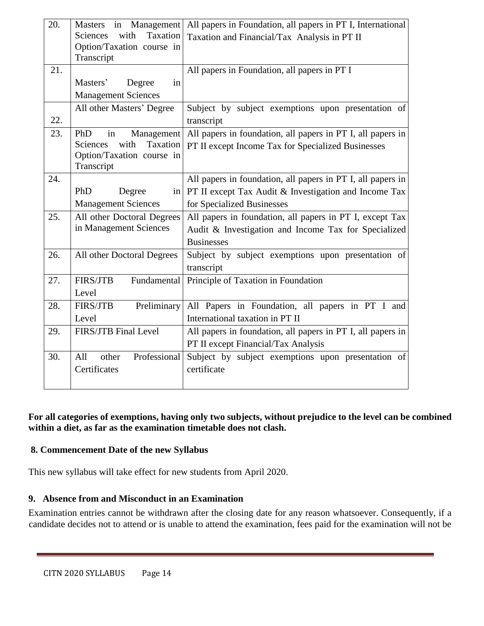| 20. | Masters in Management          | All papers in Foundation, all papers in PT I, International |
|-----|--------------------------------|-------------------------------------------------------------|
|     | with<br>Taxation<br>Sciences   | Taxation and Financial/Tax Analysis in PT II                |
|     | Option/Taxation course in      |                                                             |
|     | Transcript                     |                                                             |
| 21. |                                | All papers in Foundation, all papers in PT I                |
|     | Masters'<br>Degree<br>in       |                                                             |
|     | <b>Management Sciences</b>     |                                                             |
|     | All other Masters' Degree      | Subject by subject exemptions upon presentation of          |
| 22. |                                | transcript                                                  |
| 23. | Management<br>PhD<br>in        | All papers in foundation, all papers in PT I, all papers in |
|     | Taxation<br>with<br>Sciences   | PT II except Income Tax for Specialized Businesses          |
|     | Option/Taxation course in      |                                                             |
|     | Transcript                     |                                                             |
| 24. |                                | All papers in foundation, all papers in PT I, all papers in |
|     | PhD<br>Degree                  | in   PT II except Tax Audit & Investigation and Income Tax  |
|     | <b>Management Sciences</b>     | for Specialized Businesses                                  |
| 25. | All other Doctoral Degrees     | All papers in foundation, all papers in PT I, except Tax    |
|     | in Management Sciences         | Audit & Investigation and Income Tax for Specialized        |
|     |                                | <b>Businesses</b>                                           |
| 26. | All other Doctoral Degrees     | Subject by subject exemptions upon presentation of          |
|     |                                | transcript                                                  |
| 27. | <b>FIRS/JTB</b><br>Fundamental | Principle of Taxation in Foundation                         |
|     | Level                          |                                                             |
| 28. | Preliminary<br><b>FIRS/JTB</b> | All Papers in Foundation, all papers in PT I and            |
|     | Level                          | International taxation in PT II                             |
| 29. | FIRS/JTB Final Level           | All papers in foundation, all papers in PT I, all papers in |
|     |                                | PT II except Financial/Tax Analysis                         |
| 30. | Professional<br>All<br>other   | Subject by subject exemptions upon presentation of          |
|     | Certificates                   | certificate                                                 |
|     |                                |                                                             |
|     |                                |                                                             |

**For all categories of exemptions, having only two subjects, without prejudice to the level can be combined within a diet, as far as the examination timetable does not clash.**

#### **8. Commencement Date of the new Syllabus**

This new syllabus will take effect for new students from April 2020.

#### **9. Absence from and Misconduct in an Examination**

Examination entries cannot be withdrawn after the closing date for any reason whatsoever. Consequently, if a candidate decides not to attend or is unable to attend the examination, fees paid for the examination will not be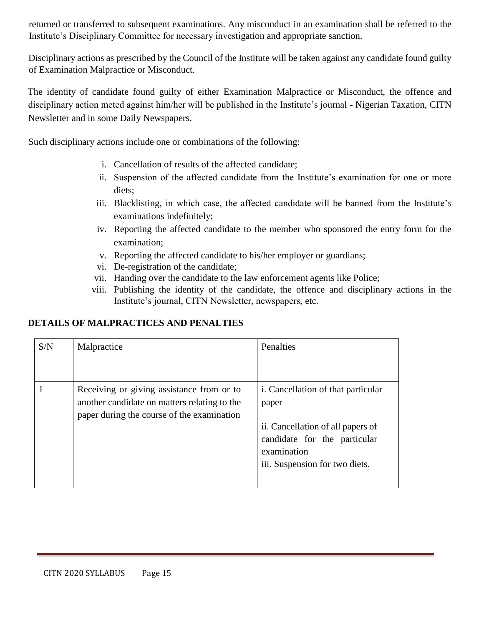returned or transferred to subsequent examinations. Any misconduct in an examination shall be referred to the Institute's Disciplinary Committee for necessary investigation and appropriate sanction.

Disciplinary actions as prescribed by the Council of the Institute will be taken against any candidate found guilty of Examination Malpractice or Misconduct.

The identity of candidate found guilty of either Examination Malpractice or Misconduct, the offence and disciplinary action meted against him/her will be published in the Institute's journal - Nigerian Taxation, CITN Newsletter and in some Daily Newspapers.

Such disciplinary actions include one or combinations of the following:

- i. Cancellation of results of the affected candidate;
- ii. Suspension of the affected candidate from the Institute's examination for one or more diets;
- iii. Blacklisting, in which case, the affected candidate will be banned from the Institute's examinations indefinitely;
- iv. Reporting the affected candidate to the member who sponsored the entry form for the examination;
- v. Reporting the affected candidate to his/her employer or guardians;
- vi. De-registration of the candidate;
- vii. Handing over the candidate to the law enforcement agents like Police;
- viii. Publishing the identity of the candidate, the offence and disciplinary actions in the Institute's journal, CITN Newsletter, newspapers, etc.

#### **DETAILS OF MALPRACTICES AND PENALTIES**

| S/N | Malpractice                                                                                                                             | Penalties                                                                                                                                                                |
|-----|-----------------------------------------------------------------------------------------------------------------------------------------|--------------------------------------------------------------------------------------------------------------------------------------------------------------------------|
|     | Receiving or giving assistance from or to<br>another candidate on matters relating to the<br>paper during the course of the examination | <i>i.</i> Cancellation of that particular<br>paper<br>ii. Cancellation of all papers of<br>candidate for the particular<br>examination<br>iii. Suspension for two diets. |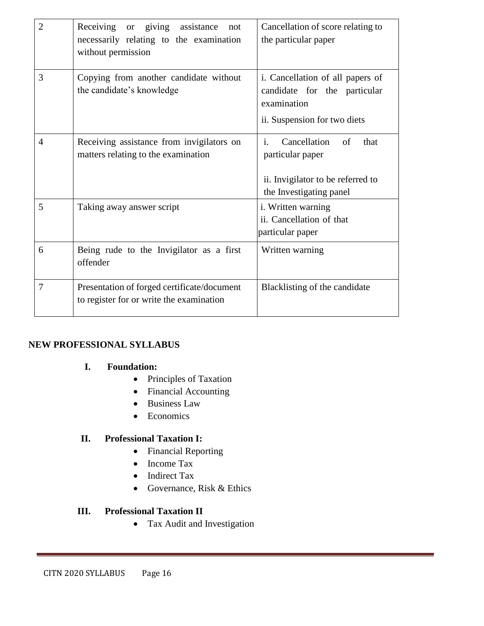| $\overline{2}$ | Receiving or giving<br>assistance<br>not<br>necessarily relating to the examination<br>without permission | Cancellation of score relating to<br>the particular paper                                                                        |
|----------------|-----------------------------------------------------------------------------------------------------------|----------------------------------------------------------------------------------------------------------------------------------|
| 3              | Copying from another candidate without<br>the candidate's knowledge                                       | i. Cancellation of all papers of<br>candidate for the particular<br>examination<br>ii. Suspension for two diets                  |
| $\overline{4}$ | Receiving assistance from invigilators on<br>matters relating to the examination                          | $\mathbf{i}$ .<br>Cancellation<br>of<br>that<br>particular paper<br>ii. Invigilator to be referred to<br>the Investigating panel |
| 5              | Taking away answer script                                                                                 | i. Written warning<br>ii. Cancellation of that<br>particular paper                                                               |
| 6              | Being rude to the Invigilator as a first<br>offender                                                      | Written warning                                                                                                                  |
| 7              | Presentation of forged certificate/document<br>to register for or write the examination                   | Blacklisting of the candidate                                                                                                    |

#### **NEW PROFESSIONAL SYLLABUS**

#### **I. Foundation:**

- Principles of Taxation
- Financial Accounting
- Business Law
- Economics

#### **II. Professional Taxation I:**

- Financial Reporting
- Income Tax
- Indirect Tax
- Governance, Risk & Ethics

#### **III. Professional Taxation II**

• Tax Audit and Investigation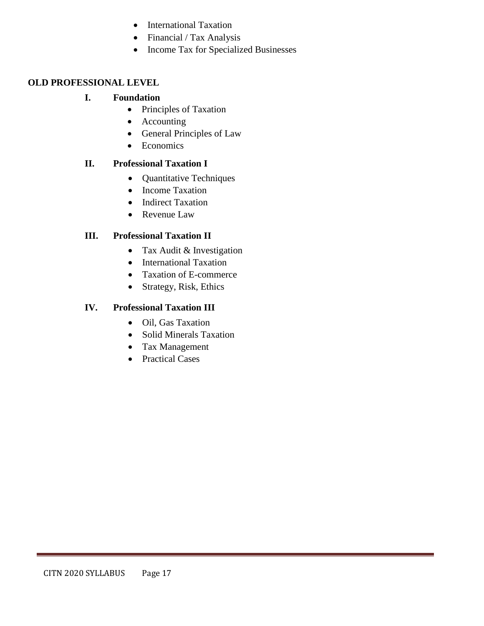- International Taxation
- Financial / Tax Analysis
- Income Tax for Specialized Businesses

#### **OLD PROFESSIONAL LEVEL**

#### **I. Foundation**

- Principles of Taxation
- Accounting
- General Principles of Law
- Economics

#### **II. Professional Taxation I**

- Quantitative Techniques
- Income Taxation
- Indirect Taxation
- Revenue Law

#### **III. Professional Taxation II**

- Tax Audit & Investigation
- International Taxation
- Taxation of E-commerce
- Strategy, Risk, Ethics

#### **IV. Professional Taxation III**

- Oil, Gas Taxation
- Solid Minerals Taxation
- Tax Management
- Practical Cases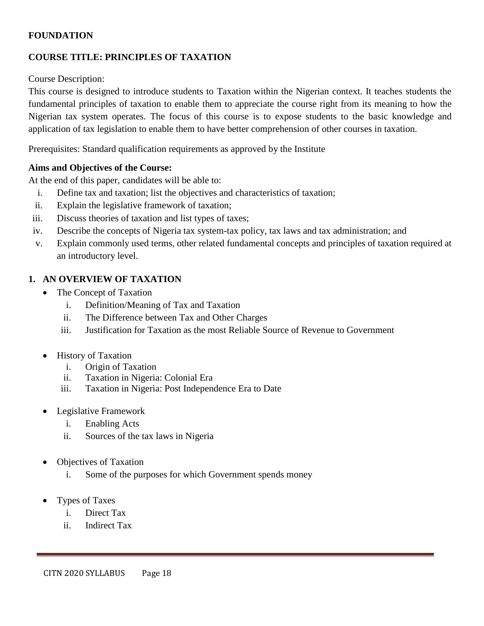#### **FOUNDATION**

#### **COURSE TITLE: PRINCIPLES OF TAXATION**

#### Course Description:

This course is designed to introduce students to Taxation within the Nigerian context. It teaches students the fundamental principles of taxation to enable them to appreciate the course right from its meaning to how the Nigerian tax system operates. The focus of this course is to expose students to the basic knowledge and application of tax legislation to enable them to have better comprehension of other courses in taxation.

Prerequisites: Standard qualification requirements as approved by the Institute

#### **Aims and Objectives of the Course:**

At the end of this paper, candidates will be able to:

- i. Define tax and taxation; list the objectives and characteristics of taxation;
- ii. Explain the legislative framework of taxation;
- iii. Discuss theories of taxation and list types of taxes;
- iv. Describe the concepts of Nigeria tax system-tax policy, tax laws and tax administration; and
- v. Explain commonly used terms, other related fundamental concepts and principles of taxation required at an introductory level.

#### **1. AN OVERVIEW OF TAXATION**

- The Concept of Taxation
	- i. Definition/Meaning of Tax and Taxation
	- ii. The Difference between Tax and Other Charges
	- iii. Justification for Taxation as the most Reliable Source of Revenue to Government
- History of Taxation
	- i. Origin of Taxation
	- ii. Taxation in Nigeria: Colonial Era
	- iii. Taxation in Nigeria: Post Independence Era to Date
- Legislative Framework
	- i. Enabling Acts
	- ii. Sources of the tax laws in Nigeria
- Objectives of Taxation
	- i. Some of the purposes for which Government spends money
- Types of Taxes
	- i. Direct Tax
	- ii. Indirect Tax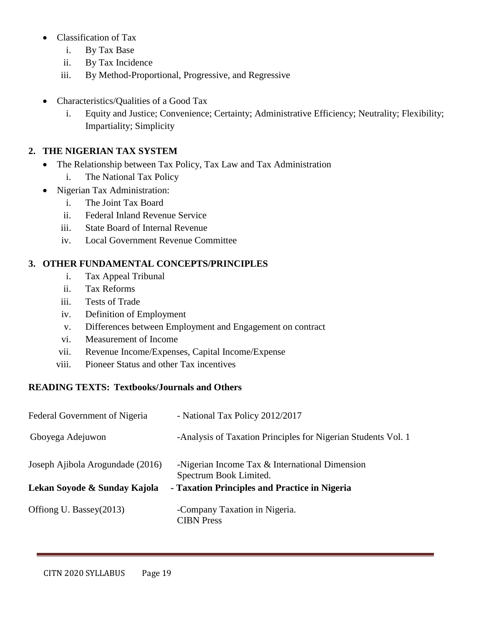- Classification of Tax
	- i. By Tax Base
	- ii. By Tax Incidence
	- iii. By Method-Proportional, Progressive, and Regressive
- Characteristics/Qualities of a Good Tax
	- i. Equity and Justice; Convenience; Certainty; Administrative Efficiency; Neutrality; Flexibility; Impartiality; Simplicity

## **2. THE NIGERIAN TAX SYSTEM**

- The Relationship between Tax Policy, Tax Law and Tax Administration
	- i. The National Tax Policy
- Nigerian Tax Administration:
	- i. The Joint Tax Board
	- ii. Federal Inland Revenue Service
	- iii. State Board of Internal Revenue
	- iv. Local Government Revenue Committee

## **3. OTHER FUNDAMENTAL CONCEPTS/PRINCIPLES**

- i. Tax Appeal Tribunal
- ii. Tax Reforms
- iii. Tests of Trade
- iv. Definition of Employment
- v. Differences between Employment and Engagement on contract
- vi. Measurement of Income
- vii. Revenue Income/Expenses, Capital Income/Expense
- viii. Pioneer Status and other Tax incentives

# **READING TEXTS: Textbooks/Journals and Others**

| Federal Government of Nigeria    | - National Tax Policy 2012/2017                                          |
|----------------------------------|--------------------------------------------------------------------------|
| Gboyega Adejuwon                 | -Analysis of Taxation Principles for Nigerian Students Vol. 1            |
| Joseph Ajibola Arogundade (2016) | -Nigerian Income Tax & International Dimension<br>Spectrum Book Limited. |
| Lekan Soyode & Sunday Kajola     | - Taxation Principles and Practice in Nigeria                            |
| Offiong U. Bassey(2013)          | -Company Taxation in Nigeria.<br><b>CIBN</b> Press                       |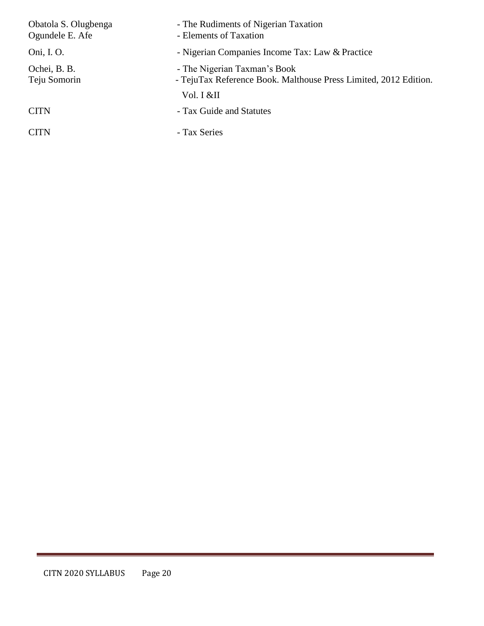| Obatola S. Olugbenga<br>Ogundele E. Afe | - The Rudiments of Nigerian Taxation<br>- Elements of Taxation                                   |
|-----------------------------------------|--------------------------------------------------------------------------------------------------|
| Oni, I. O.                              | - Nigerian Companies Income Tax: Law & Practice                                                  |
| Ochei, B. B.<br>Teju Somorin            | - The Nigerian Taxman's Book<br>- TejuTax Reference Book. Malthouse Press Limited, 2012 Edition. |
|                                         | Vol. I &II                                                                                       |
| <b>CITN</b>                             | - Tax Guide and Statutes                                                                         |
| <b>CITN</b>                             | - Tax Series                                                                                     |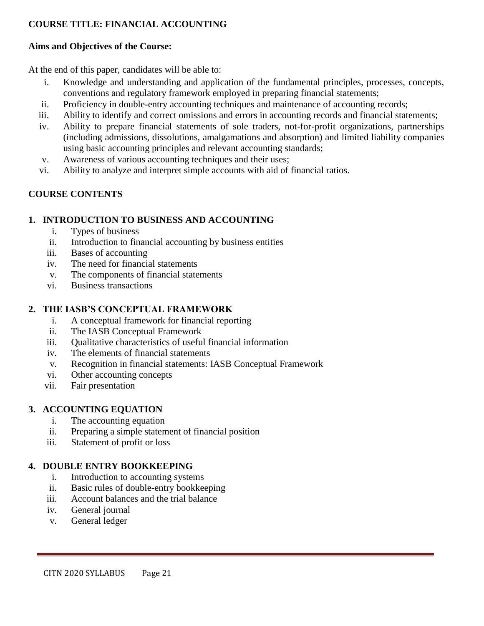## **COURSE TITLE: FINANCIAL ACCOUNTING**

#### **Aims and Objectives of the Course:**

At the end of this paper, candidates will be able to:

- i. Knowledge and understanding and application of the fundamental principles, processes, concepts, conventions and regulatory framework employed in preparing financial statements;
- ii. Proficiency in double-entry accounting techniques and maintenance of accounting records;
- iii. Ability to identify and correct omissions and errors in accounting records and financial statements;
- iv. Ability to prepare financial statements of sole traders, not-for-profit organizations, partnerships (including admissions, dissolutions, amalgamations and absorption) and limited liability companies using basic accounting principles and relevant accounting standards;
- v. Awareness of various accounting techniques and their uses;
- vi. Ability to analyze and interpret simple accounts with aid of financial ratios.

# **COURSE CONTENTS**

#### **1. INTRODUCTION TO BUSINESS AND ACCOUNTING**

- i. Types of business
- ii. Introduction to financial accounting by business entities
- iii. Bases of accounting
- iv. The need for financial statements
- v. The components of financial statements
- vi. Business transactions

### **2. THE IASB'S CONCEPTUAL FRAMEWORK**

- i. A conceptual framework for financial reporting
- ii. The IASB Conceptual Framework
- iii. Qualitative characteristics of useful financial information
- iv. The elements of financial statements
- v. Recognition in financial statements: IASB Conceptual Framework
- vi. Other accounting concepts
- vii. Fair presentation

#### **3. ACCOUNTING EQUATION**

- i. The accounting equation
- ii. Preparing a simple statement of financial position
- iii. Statement of profit or loss

#### **4. DOUBLE ENTRY BOOKKEEPING**

- i. Introduction to accounting systems
- ii. Basic rules of double-entry bookkeeping
- iii. Account balances and the trial balance
- iv. General journal
- v. General ledger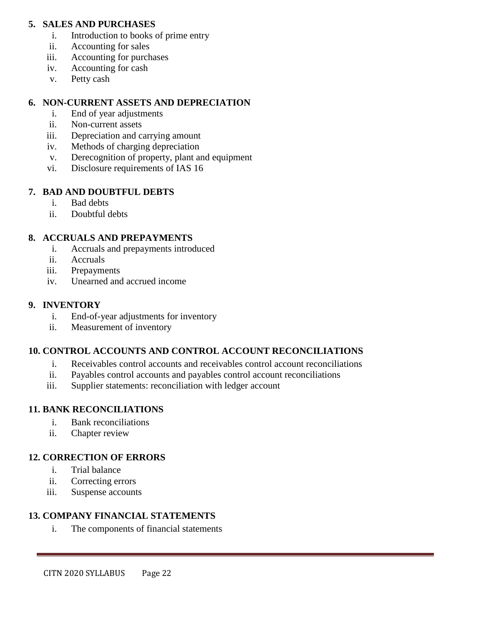#### **5. SALES AND PURCHASES**

- i. Introduction to books of prime entry
- ii. Accounting for sales
- iii. Accounting for purchases
- iv. Accounting for cash
- v. Petty cash

#### **6. NON-CURRENT ASSETS AND DEPRECIATION**

- i. End of year adjustments
- ii. Non-current assets
- iii. Depreciation and carrying amount
- iv. Methods of charging depreciation
- v. Derecognition of property, plant and equipment
- vi. Disclosure requirements of IAS 16

#### **7. BAD AND DOUBTFUL DEBTS**

- i. Bad debts
- ii. Doubtful debts

#### **8. ACCRUALS AND PREPAYMENTS**

- i. Accruals and prepayments introduced
- ii. Accruals
- iii. Prepayments
- iv. Unearned and accrued income

#### **9. INVENTORY**

- i. End-of-year adjustments for inventory
- ii. Measurement of inventory

# **10. CONTROL ACCOUNTS AND CONTROL ACCOUNT RECONCILIATIONS**

- i. Receivables control accounts and receivables control account reconciliations
- ii. Payables control accounts and payables control account reconciliations
- iii. Supplier statements: reconciliation with ledger account

#### **11. BANK RECONCILIATIONS**

- i. Bank reconciliations
- ii. Chapter review

#### **12. CORRECTION OF ERRORS**

- i. Trial balance
- ii. Correcting errors
- iii. Suspense accounts

#### **13. COMPANY FINANCIAL STATEMENTS**

i. The components of financial statements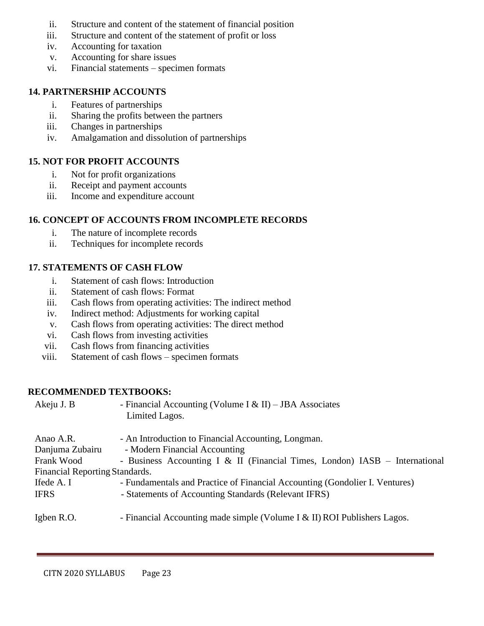- ii. Structure and content of the statement of financial position
- iii. Structure and content of the statement of profit or loss
- iv. Accounting for taxation
- v. Accounting for share issues
- vi. Financial statements specimen formats

#### **14. PARTNERSHIP ACCOUNTS**

- i. Features of partnerships
- ii. Sharing the profits between the partners
- iii. Changes in partnerships
- iv. Amalgamation and dissolution of partnerships

#### **15. NOT FOR PROFIT ACCOUNTS**

- i. Not for profit organizations
- ii. Receipt and payment accounts
- iii. Income and expenditure account

## **16. CONCEPT OF ACCOUNTS FROM INCOMPLETE RECORDS**

- i. The nature of incomplete records
- ii. Techniques for incomplete records

## **17. STATEMENTS OF CASH FLOW**

- i. Statement of cash flows: Introduction
- ii. Statement of cash flows: Format
- iii. Cash flows from operating activities: The indirect method
- iv. Indirect method: Adjustments for working capital
- v. Cash flows from operating activities: The direct method
- vi. Cash flows from investing activities
- vii. Cash flows from financing activities
- viii. Statement of cash flows specimen formats

#### **RECOMMENDED TEXTBOOKS:**

Akeju J. B - Financial Accounting (Volume I & II) – JBA Associates Limited Lagos. Anao A.R. - An Introduction to Financial Accounting, Longman. Danjuma Zubairu - Modern Financial Accounting Frank Wood - Business Accounting I & II (Financial Times, London) IASB - International Financial Reporting Standards. Ifede A. I - Fundamentals and Practice of Financial Accounting (Gondolier I. Ventures) IFRS - Statements of Accounting Standards (Relevant IFRS) Igben R.O. - Financial Accounting made simple (Volume I & II) ROI Publishers Lagos.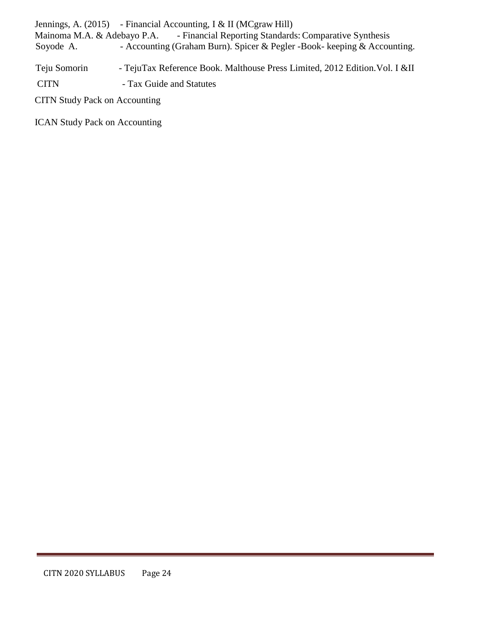Jennings, A. (2015) - Financial Accounting, I & II (MCgraw Hill) Mainoma M.A. & Adebayo P.A. - Financial Reporting Standards: Comparative Synthesis<br>Soyode A. - Accounting (Graham Burn). Spicer & Pegler -Book- keeping & Accou - Accounting (Graham Burn). Spicer & Pegler -Book- keeping & Accounting.

Teju Somorin - TejuTax Reference Book. Malthouse Press Limited, 2012 Edition. Vol. I &II

CITN - Tax Guide and Statutes

CITN Study Pack on Accounting

ICAN Study Pack on Accounting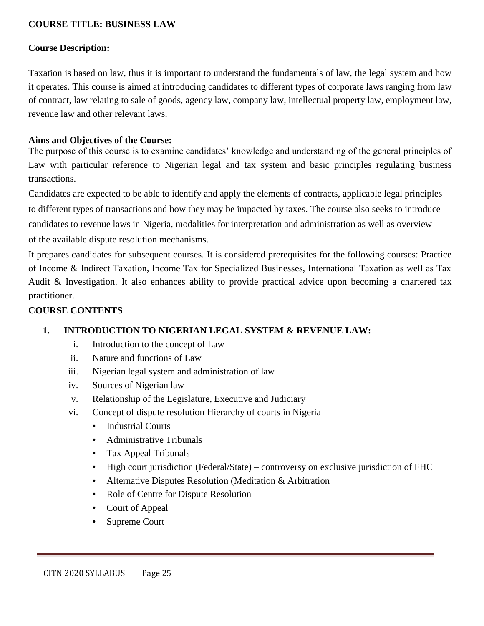#### **COURSE TITLE: BUSINESS LAW**

#### **Course Description:**

Taxation is based on law, thus it is important to understand the fundamentals of law, the legal system and how it operates. This course is aimed at introducing candidates to different types of corporate laws ranging from law of contract, law relating to sale of goods, agency law, company law, intellectual property law, employment law, revenue law and other relevant laws.

#### **Aims and Objectives of the Course:**

The purpose of this course is to examine candidates' knowledge and understanding of the general principles of Law with particular reference to Nigerian legal and tax system and basic principles regulating business transactions.

Candidates are expected to be able to identify and apply the elements of contracts, applicable legal principles to different types of transactions and how they may be impacted by taxes. The course also seeks to introduce candidates to revenue laws in Nigeria, modalities for interpretation and administration as well as overview of the available dispute resolution mechanisms.

It prepares candidates for subsequent courses. It is considered prerequisites for the following courses: Practice of Income & Indirect Taxation, Income Tax for Specialized Businesses, International Taxation as well as Tax Audit & Investigation. It also enhances ability to provide practical advice upon becoming a chartered tax practitioner.

#### **COURSE CONTENTS**

#### **1. INTRODUCTION TO NIGERIAN LEGAL SYSTEM & REVENUE LAW:**

- i. Introduction to the concept of Law
- ii. Nature and functions of Law
- iii. Nigerian legal system and administration of law
- iv. Sources of Nigerian law
- v. Relationship of the Legislature, Executive and Judiciary
- vi. Concept of dispute resolution Hierarchy of courts in Nigeria
	- Industrial Courts
	- Administrative Tribunals
	- Tax Appeal Tribunals
	- High court jurisdiction (Federal/State) controversy on exclusive jurisdiction of FHC
	- Alternative Disputes Resolution (Meditation & Arbitration
	- Role of Centre for Dispute Resolution
	- Court of Appeal
	- Supreme Court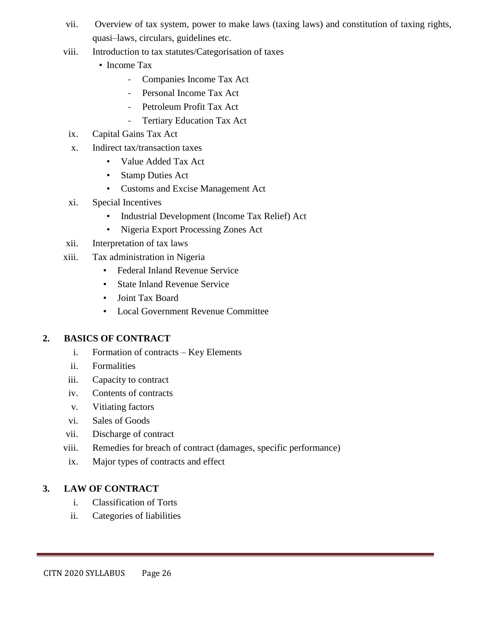- vii. Overview of tax system, power to make laws (taxing laws) and constitution of taxing rights, quasi–laws, circulars, guidelines etc.
- viii. Introduction to tax statutes/Categorisation of taxes
	- Income Tax
		- Companies Income Tax Act
		- Personal Income Tax Act
		- Petroleum Profit Tax Act
		- Tertiary Education Tax Act
- ix. Capital Gains Tax Act
- x. Indirect tax/transaction taxes
	- Value Added Tax Act
	- Stamp Duties Act
	- Customs and Excise Management Act
- xi. Special Incentives
	- Industrial Development (Income Tax Relief) Act
	- Nigeria Export Processing Zones Act
- xii. Interpretation of tax laws
- xiii. Tax administration in Nigeria
	- Federal Inland Revenue Service
	- State Inland Revenue Service
	- Joint Tax Board
	- Local Government Revenue Committee

#### **2. BASICS OF CONTRACT**

- i. Formation of contracts Key Elements
- ii. Formalities
- iii. Capacity to contract
- iv. Contents of contracts
- v. Vitiating factors
- vi. Sales of Goods
- vii. Discharge of contract
- viii. Remedies for breach of contract (damages, specific performance)
- ix. Major types of contracts and effect

#### **3. LAW OF CONTRACT**

- i. Classification of Torts
- ii. Categories of liabilities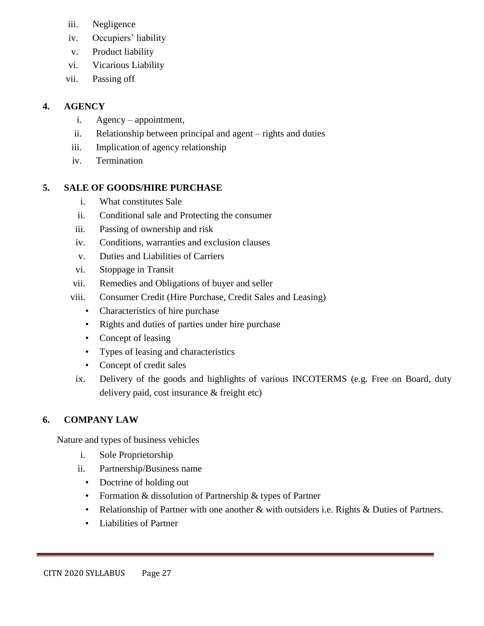- iii. Negligence
- iv. Occupiers' liability
- v. Product liability
- vi. Vicarious Liability
- vii. Passing off

# **4. AGENCY**

- i. Agency appointment,
- ii. Relationship between principal and agent rights and duties
- iii. Implication of agency relationship
- iv. Termination

# **5. SALE OF GOODS/HIRE PURCHASE**

- i. What constitutes Sale
- ii. Conditional sale and Protecting the consumer
- iii. Passing of ownership and risk
- iv. Conditions, warranties and exclusion clauses
- v. Duties and Liabilities of Carriers
- vi. Stoppage in Transit
- vii. Remedies and Obligations of buyer and seller
- viii. Consumer Credit (Hire Purchase, Credit Sales and Leasing)
	- Characteristics of hire purchase
	- Rights and duties of parties under hire purchase
	- Concept of leasing
	- Types of leasing and characteristics
	- Concept of credit sales
- ix. Delivery of the goods and highlights of various INCOTERMS (e.g. Free on Board, duty delivery paid, cost insurance & freight etc)

# **6. COMPANY LAW**

Nature and types of business vehicles

- i. Sole Proprietorship
- ii. Partnership/Business name
	- Doctrine of holding out
	- Formation & dissolution of Partnership & types of Partner
	- Relationship of Partner with one another & with outsiders i.e. Rights & Duties of Partners.
	- Liabilities of Partner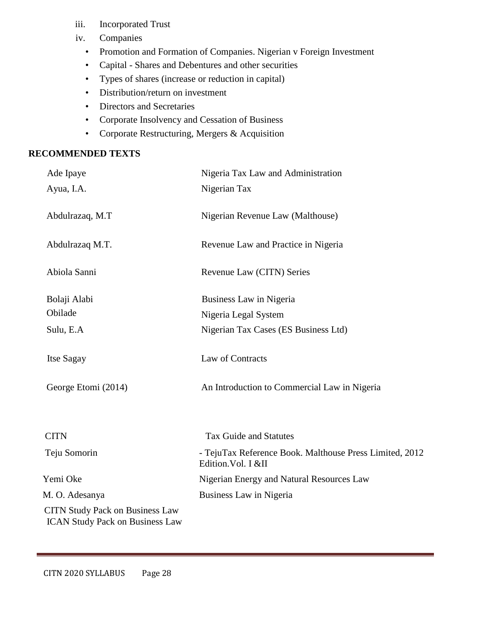- iii. Incorporated Trust
- iv. Companies
	- Promotion and Formation of Companies. Nigerian v Foreign Investment
	- Capital Shares and Debentures and other securities
	- Types of shares (increase or reduction in capital)
	- Distribution/return on investment
	- Directors and Secretaries
	- Corporate Insolvency and Cessation of Business
	- Corporate Restructuring, Mergers & Acquisition

#### **RECOMMENDED TEXTS**

| Ade Ipaye                                                                        | Nigeria Tax Law and Administration                                             |
|----------------------------------------------------------------------------------|--------------------------------------------------------------------------------|
| Ayua, I.A.                                                                       | Nigerian Tax                                                                   |
| Abdulrazaq, M.T                                                                  | Nigerian Revenue Law (Malthouse)                                               |
| Abdulrazaq M.T.                                                                  | Revenue Law and Practice in Nigeria                                            |
| Abiola Sanni                                                                     | Revenue Law (CITN) Series                                                      |
| Bolaji Alabi                                                                     | Business Law in Nigeria                                                        |
| Obilade                                                                          | Nigeria Legal System                                                           |
| Sulu, E.A                                                                        | Nigerian Tax Cases (ES Business Ltd)                                           |
| Itse Sagay                                                                       | Law of Contracts                                                               |
| George Etomi (2014)                                                              | An Introduction to Commercial Law in Nigeria                                   |
| <b>CITN</b>                                                                      | <b>Tax Guide and Statutes</b>                                                  |
| Teju Somorin                                                                     | - TejuTax Reference Book. Malthouse Press Limited, 2012<br>Edition. Vol. I &II |
| Yemi Oke                                                                         | Nigerian Energy and Natural Resources Law                                      |
| M. O. Adesanya                                                                   | Business Law in Nigeria                                                        |
| <b>CITN Study Pack on Business Law</b><br><b>ICAN Study Pack on Business Law</b> |                                                                                |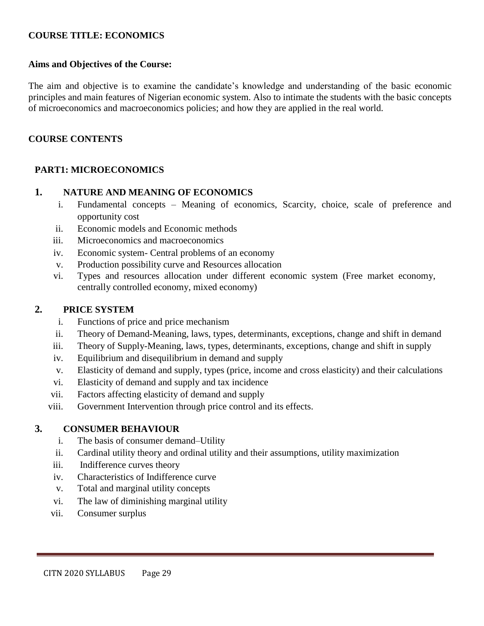#### **COURSE TITLE: ECONOMICS**

#### **Aims and Objectives of the Course:**

The aim and objective is to examine the candidate's knowledge and understanding of the basic economic principles and main features of Nigerian economic system. Also to intimate the students with the basic concepts of microeconomics and macroeconomics policies; and how they are applied in the real world.

#### **COURSE CONTENTS**

#### **PART1: MICROECONOMICS**

#### **1. NATURE AND MEANING OF ECONOMICS**

- i. Fundamental concepts Meaning of economics, Scarcity, choice, scale of preference and opportunity cost
- ii. Economic models and Economic methods
- iii. Microeconomics and macroeconomics
- iv. Economic system- Central problems of an economy
- v. Production possibility curve and Resources allocation
- vi. Types and resources allocation under different economic system (Free market economy, centrally controlled economy, mixed economy)

#### **2. PRICE SYSTEM**

- i. Functions of price and price mechanism
- ii. Theory of Demand-Meaning, laws, types, determinants, exceptions, change and shift in demand
- iii. Theory of Supply-Meaning, laws, types, determinants, exceptions, change and shift in supply
- iv. Equilibrium and disequilibrium in demand and supply
- v. Elasticity of demand and supply, types (price, income and cross elasticity) and their calculations
- vi. Elasticity of demand and supply and tax incidence
- vii. Factors affecting elasticity of demand and supply
- viii. Government Intervention through price control and its effects.

#### **3. CONSUMER BEHAVIOUR**

- i. The basis of consumer demand–Utility
- ii. Cardinal utility theory and ordinal utility and their assumptions, utility maximization
- iii. Indifference curves theory
- iv. Characteristics of Indifference curve
- v. Total and marginal utility concepts
- vi. The law of diminishing marginal utility
- vii. Consumer surplus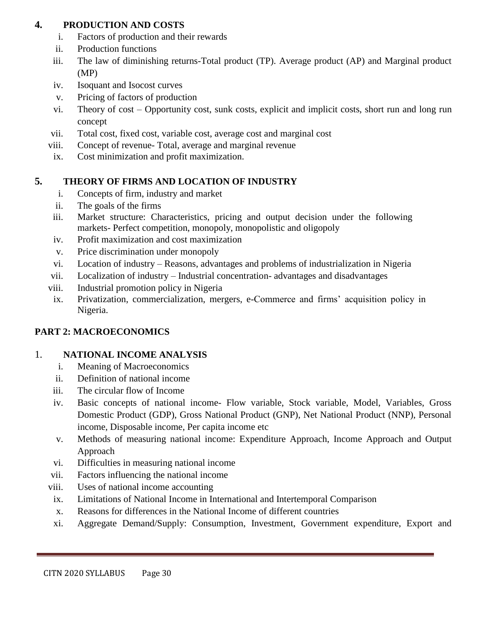### **4. PRODUCTION AND COSTS**

- i. Factors of production and their rewards
- ii. Production functions
- iii. The law of diminishing returns-Total product (TP). Average product (AP) and Marginal product (MP)
- iv. Isoquant and Isocost curves
- v. Pricing of factors of production
- vi. Theory of cost Opportunity cost, sunk costs, explicit and implicit costs, short run and long run concept
- vii. Total cost, fixed cost, variable cost, average cost and marginal cost
- viii. Concept of revenue- Total, average and marginal revenue
- ix. Cost minimization and profit maximization.

# **5. THEORY OF FIRMS AND LOCATION OF INDUSTRY**

- i. Concepts of firm, industry and market
- ii. The goals of the firms
- iii. Market structure: Characteristics, pricing and output decision under the following markets- Perfect competition, monopoly, monopolistic and oligopoly
- iv. Profit maximization and cost maximization
- v. Price discrimination under monopoly
- vi. Location of industry Reasons, advantages and problems of industrialization in Nigeria
- vii. Localization of industry Industrial concentration- advantages and disadvantages
- viii. Industrial promotion policy in Nigeria
- ix. Privatization, commercialization, mergers, e-Commerce and firms' acquisition policy in Nigeria.

# **PART 2: MACROECONOMICS**

# 1. **NATIONAL INCOME ANALYSIS**

- i. Meaning of Macroeconomics
- ii. Definition of national income
- iii. The circular flow of Income
- iv. Basic concepts of national income- Flow variable, Stock variable, Model, Variables, Gross Domestic Product (GDP), Gross National Product (GNP), Net National Product (NNP), Personal income, Disposable income, Per capita income etc
- v. Methods of measuring national income: Expenditure Approach, Income Approach and Output Approach
- vi. Difficulties in measuring national income
- vii. Factors influencing the national income
- viii. Uses of national income accounting
- ix. Limitations of National Income in International and Intertemporal Comparison
- x. Reasons for differences in the National Income of different countries
- xi. Aggregate Demand/Supply: Consumption, Investment, Government expenditure, Export and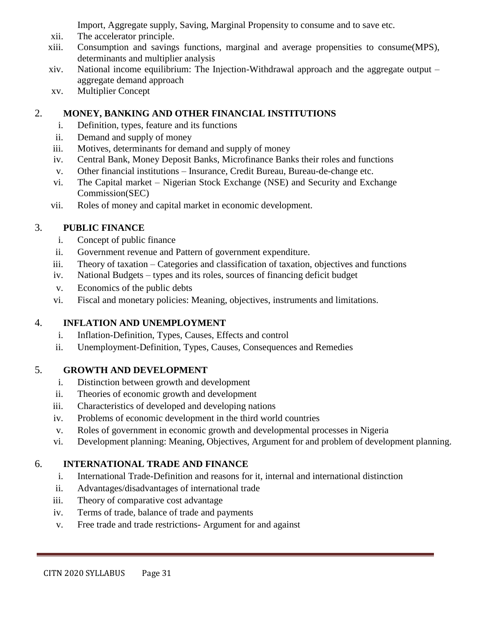Import, Aggregate supply, Saving, Marginal Propensity to consume and to save etc.

- xii. The accelerator principle.
- xiii. Consumption and savings functions, marginal and average propensities to consume(MPS), determinants and multiplier analysis
- xiv. National income equilibrium: The Injection-Withdrawal approach and the aggregate output aggregate demand approach
- xv. Multiplier Concept

# 2. **MONEY, BANKING AND OTHER FINANCIAL INSTITUTIONS**

- i. Definition, types, feature and its functions
- ii. Demand and supply of money
- iii. Motives, determinants for demand and supply of money
- iv. Central Bank, Money Deposit Banks, Microfinance Banks their roles and functions
- v. Other financial institutions Insurance, Credit Bureau, Bureau-de-change etc.
- vi. The Capital market Nigerian Stock Exchange (NSE) and Security and Exchange Commission(SEC)
- vii. Roles of money and capital market in economic development.

# 3. **PUBLIC FINANCE**

- i. Concept of public finance
- ii. Government revenue and Pattern of government expenditure.
- iii. Theory of taxation Categories and classification of taxation, objectives and functions
- iv. National Budgets types and its roles, sources of financing deficit budget
- v. Economics of the public debts
- vi. Fiscal and monetary policies: Meaning, objectives, instruments and limitations.

# 4. **INFLATION AND UNEMPLOYMENT**

- i. Inflation-Definition, Types, Causes, Effects and control
- ii. Unemployment-Definition, Types, Causes, Consequences and Remedies

# 5. **GROWTH AND DEVELOPMENT**

- i. Distinction between growth and development
- ii. Theories of economic growth and development
- iii. Characteristics of developed and developing nations
- iv. Problems of economic development in the third world countries
- v. Roles of government in economic growth and developmental processes in Nigeria
- vi. Development planning: Meaning, Objectives, Argument for and problem of development planning.

# 6. **INTERNATIONAL TRADE AND FINANCE**

- i. International Trade-Definition and reasons for it, internal and international distinction
- ii. Advantages/disadvantages of international trade
- iii. Theory of comparative cost advantage
- iv. Terms of trade, balance of trade and payments
- v. Free trade and trade restrictions- Argument for and against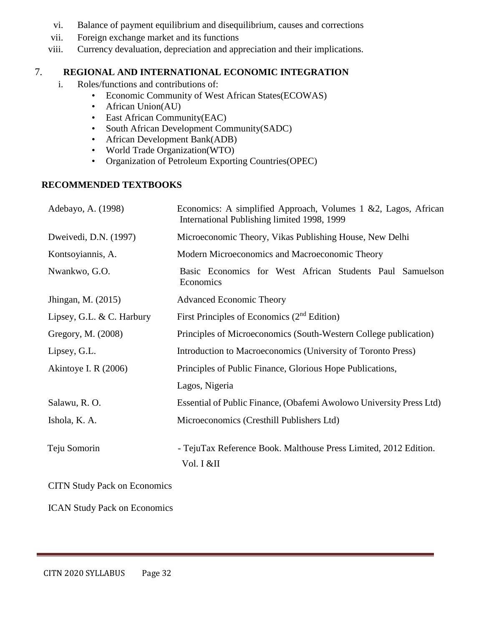- vi. Balance of payment equilibrium and disequilibrium, causes and corrections
- vii. Foreign exchange market and its functions
- viii. Currency devaluation, depreciation and appreciation and their implications.

#### 7. **REGIONAL AND INTERNATIONAL ECONOMIC INTEGRATION**

- i. Roles/functions and contributions of:
	- Economic Community of West African States(ECOWAS)
	- African Union(AU)
	- East African Community(EAC)
	- South African Development Community(SADC)
	- African Development Bank(ADB)
	- World Trade Organization(WTO)
	- Organization of Petroleum Exporting Countries(OPEC)

#### **RECOMMENDED TEXTBOOKS**

| Adebayo, A. (1998)                  | Economics: A simplified Approach, Volumes $1 \& 2$ , Lagos, African<br>International Publishing limited 1998, 1999 |
|-------------------------------------|--------------------------------------------------------------------------------------------------------------------|
| Dweivedi, D.N. (1997)               | Microeconomic Theory, Vikas Publishing House, New Delhi                                                            |
| Kontsoyiannis, A.                   | Modern Microeconomics and Macroeconomic Theory                                                                     |
| Nwankwo, G.O.                       | Basic Economics for West African Students Paul Samuelson<br>Economics                                              |
| Jhingan, M. (2015)                  | <b>Advanced Economic Theory</b>                                                                                    |
| Lipsey, G.L. & C. Harbury           | First Principles of Economics $(2nd Edition)$                                                                      |
| Gregory, M. (2008)                  | Principles of Microeconomics (South-Western College publication)                                                   |
| Lipsey, G.L.                        | Introduction to Macroeconomics (University of Toronto Press)                                                       |
| Akintoye I. R $(2006)$              | Principles of Public Finance, Glorious Hope Publications,                                                          |
|                                     | Lagos, Nigeria                                                                                                     |
| Salawu, R. O.                       | Essential of Public Finance, (Obafemi Awolowo University Press Ltd)                                                |
| Ishola, K. A.                       | Microeconomics (Cresthill Publishers Ltd)                                                                          |
| Teju Somorin                        | - TejuTax Reference Book. Malthouse Press Limited, 2012 Edition.<br>Vol. I &II                                     |
| <b>CITN Study Pack on Economics</b> |                                                                                                                    |

ICAN Study Pack on Economics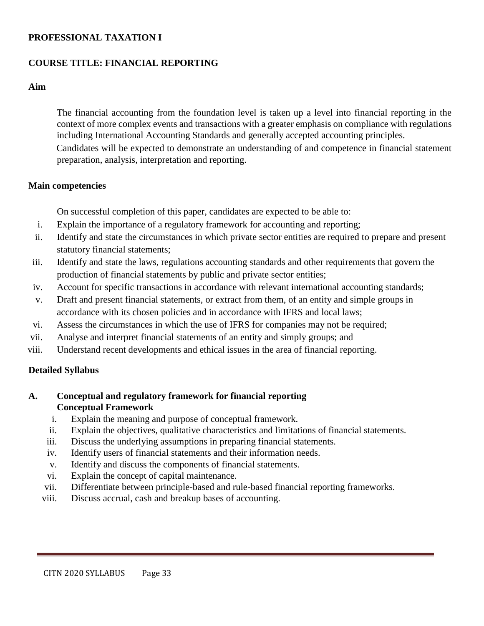#### **PROFESSIONAL TAXATION I**

#### **COURSE TITLE: FINANCIAL REPORTING**

#### **Aim**

The financial accounting from the foundation level is taken up a level into financial reporting in the context of more complex events and transactions with a greater emphasis on compliance with regulations including International Accounting Standards and generally accepted accounting principles. Candidates will be expected to demonstrate an understanding of and competence in financial statement preparation, analysis, interpretation and reporting.

#### **Main competencies**

On successful completion of this paper, candidates are expected to be able to:

- i. Explain the importance of a regulatory framework for accounting and reporting;
- ii. Identify and state the circumstances in which private sector entities are required to prepare and present statutory financial statements;
- iii. Identify and state the laws, regulations accounting standards and other requirements that govern the production of financial statements by public and private sector entities;
- iv. Account for specific transactions in accordance with relevant international accounting standards;
- v. Draft and present financial statements, or extract from them, of an entity and simple groups in accordance with its chosen policies and in accordance with IFRS and local laws;
- vi. Assess the circumstances in which the use of IFRS for companies may not be required;
- vii. Analyse and interpret financial statements of an entity and simply groups; and
- viii. Understand recent developments and ethical issues in the area of financial reporting.

#### **Detailed Syllabus**

#### **A. Conceptual and regulatory framework for financial reporting Conceptual Framework**

- i. Explain the meaning and purpose of conceptual framework.
- ii. Explain the objectives, qualitative characteristics and limitations of financial statements.
- iii. Discuss the underlying assumptions in preparing financial statements.
- iv. Identify users of financial statements and their information needs.
- v. Identify and discuss the components of financial statements.
- vi. Explain the concept of capital maintenance.
- vii. Differentiate between principle-based and rule-based financial reporting frameworks.
- viii. Discuss accrual, cash and breakup bases of accounting.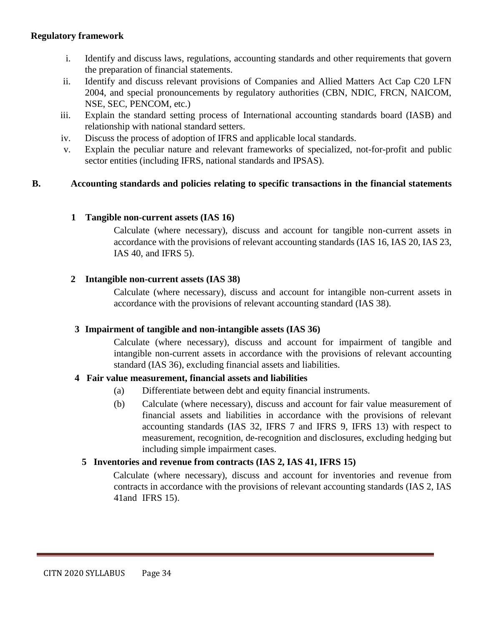#### **Regulatory framework**

- i. Identify and discuss laws, regulations, accounting standards and other requirements that govern the preparation of financial statements.
- ii. Identify and discuss relevant provisions of Companies and Allied Matters Act Cap C20 LFN 2004, and special pronouncements by regulatory authorities (CBN, NDIC, FRCN, NAICOM, NSE, SEC, PENCOM, etc.)
- iii. Explain the standard setting process of International accounting standards board (IASB) and relationship with national standard setters.
- iv. Discuss the process of adoption of IFRS and applicable local standards.
- v. Explain the peculiar nature and relevant frameworks of specialized, not-for-profit and public sector entities (including IFRS, national standards and IPSAS).

#### **B. Accounting standards and policies relating to specific transactions in the financial statements**

#### **1 Tangible non-current assets (IAS 16)**

Calculate (where necessary), discuss and account for tangible non-current assets in accordance with the provisions of relevant accounting standards (IAS 16, IAS 20, IAS 23, IAS 40, and IFRS 5).

#### **2 Intangible non-current assets (IAS 38)**

Calculate (where necessary), discuss and account for intangible non-current assets in accordance with the provisions of relevant accounting standard (IAS 38).

#### **3 Impairment of tangible and non-intangible assets (IAS 36)**

Calculate (where necessary), discuss and account for impairment of tangible and intangible non-current assets in accordance with the provisions of relevant accounting standard (IAS 36), excluding financial assets and liabilities.

#### **4 Fair value measurement, financial assets and liabilities**

- (a) Differentiate between debt and equity financial instruments.
- (b) Calculate (where necessary), discuss and account for fair value measurement of financial assets and liabilities in accordance with the provisions of relevant accounting standards (IAS 32, IFRS 7 and IFRS 9, IFRS 13) with respect to measurement, recognition, de-recognition and disclosures, excluding hedging but including simple impairment cases.

#### **5 Inventories and revenue from contracts (IAS 2, IAS 41, IFRS 15)**

Calculate (where necessary), discuss and account for inventories and revenue from contracts in accordance with the provisions of relevant accounting standards (IAS 2, IAS 41and IFRS 15).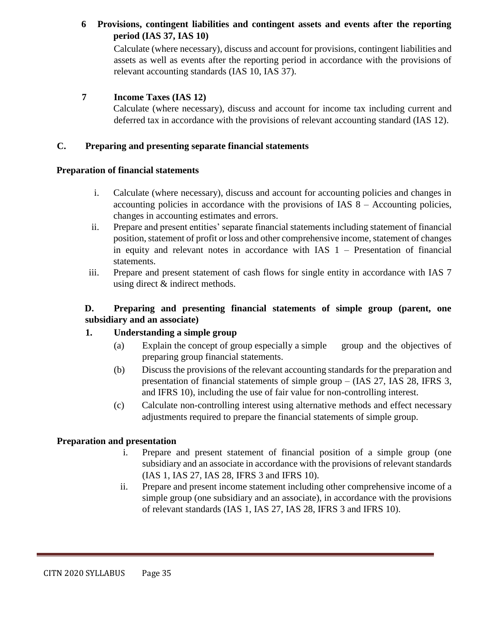#### **6 Provisions, contingent liabilities and contingent assets and events after the reporting period (IAS 37, IAS 10)**

Calculate (where necessary), discuss and account for provisions, contingent liabilities and assets as well as events after the reporting period in accordance with the provisions of relevant accounting standards (IAS 10, IAS 37).

#### **7 Income Taxes (IAS 12)**

Calculate (where necessary), discuss and account for income tax including current and deferred tax in accordance with the provisions of relevant accounting standard (IAS 12).

#### **C. Preparing and presenting separate financial statements**

#### **Preparation of financial statements**

- i. Calculate (where necessary), discuss and account for accounting policies and changes in accounting policies in accordance with the provisions of IAS  $8 -$  Accounting policies, changes in accounting estimates and errors.
- ii. Prepare and present entities' separate financial statements including statement of financial position, statement of profit or loss and other comprehensive income, statement of changes in equity and relevant notes in accordance with IAS 1 – Presentation of financial statements.
- iii. Prepare and present statement of cash flows for single entity in accordance with IAS 7 using direct & indirect methods.

#### **D. Preparing and presenting financial statements of simple group (parent, one subsidiary and an associate)**

#### **1. Understanding a simple group**

- (a) Explain the concept of group especially a simple group and the objectives of preparing group financial statements.
- (b) Discuss the provisions of the relevant accounting standards for the preparation and presentation of financial statements of simple group – (IAS 27, IAS 28, IFRS 3, and IFRS 10), including the use of fair value for non-controlling interest.
- (c) Calculate non-controlling interest using alternative methods and effect necessary adjustments required to prepare the financial statements of simple group.

#### **Preparation and presentation**

- i. Prepare and present statement of financial position of a simple group (one subsidiary and an associate in accordance with the provisions of relevant standards (IAS 1, IAS 27, IAS 28, IFRS 3 and IFRS 10).
- ii. Prepare and present income statement including other comprehensive income of a simple group (one subsidiary and an associate), in accordance with the provisions of relevant standards (IAS 1, IAS 27, IAS 28, IFRS 3 and IFRS 10).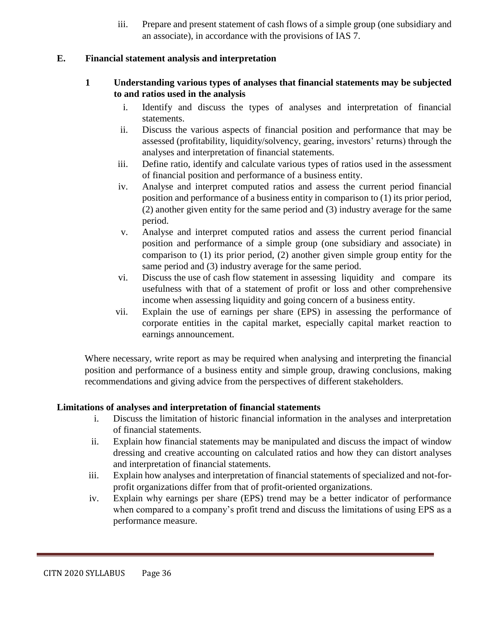iii. Prepare and present statement of cash flows of a simple group (one subsidiary and an associate), in accordance with the provisions of IAS 7.

#### **E. Financial statement analysis and interpretation**

- **1 Understanding various types of analyses that financial statements may be subjected to and ratios used in the analysis**
	- i. Identify and discuss the types of analyses and interpretation of financial statements.
	- ii. Discuss the various aspects of financial position and performance that may be assessed (profitability, liquidity/solvency, gearing, investors' returns) through the analyses and interpretation of financial statements.
	- iii. Define ratio, identify and calculate various types of ratios used in the assessment of financial position and performance of a business entity.
	- iv. Analyse and interpret computed ratios and assess the current period financial position and performance of a business entity in comparison to (1) its prior period, (2) another given entity for the same period and (3) industry average for the same period.
	- v. Analyse and interpret computed ratios and assess the current period financial position and performance of a simple group (one subsidiary and associate) in comparison to (1) its prior period, (2) another given simple group entity for the same period and (3) industry average for the same period.
	- vi. Discuss the use of cash flow statement in assessing liquidity and compare its usefulness with that of a statement of profit or loss and other comprehensive income when assessing liquidity and going concern of a business entity.
	- vii. Explain the use of earnings per share (EPS) in assessing the performance of corporate entities in the capital market, especially capital market reaction to earnings announcement.

Where necessary, write report as may be required when analysing and interpreting the financial position and performance of a business entity and simple group, drawing conclusions, making recommendations and giving advice from the perspectives of different stakeholders.

#### **Limitations of analyses and interpretation of financial statements**

- i. Discuss the limitation of historic financial information in the analyses and interpretation of financial statements.
- ii. Explain how financial statements may be manipulated and discuss the impact of window dressing and creative accounting on calculated ratios and how they can distort analyses and interpretation of financial statements.
- iii. Explain how analyses and interpretation of financial statements of specialized and not-forprofit organizations differ from that of profit-oriented organizations.
- iv. Explain why earnings per share (EPS) trend may be a better indicator of performance when compared to a company's profit trend and discuss the limitations of using EPS as a performance measure.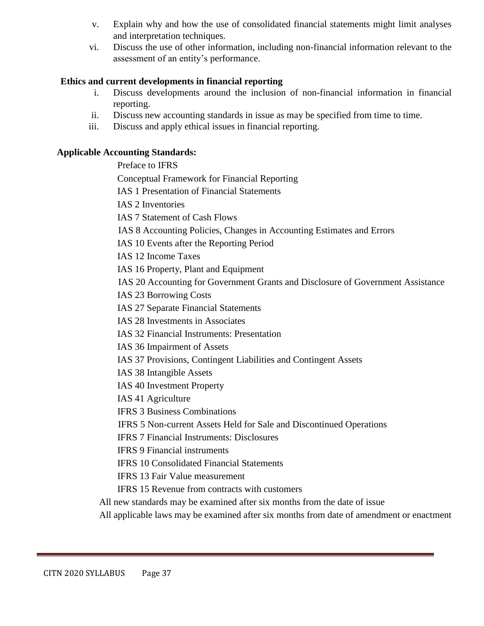- v. Explain why and how the use of consolidated financial statements might limit analyses and interpretation techniques.
- vi. Discuss the use of other information, including non-financial information relevant to the assessment of an entity's performance.

### **Ethics and current developments in financial reporting**

- i. Discuss developments around the inclusion of non-financial information in financial reporting.
- ii. Discuss new accounting standards in issue as may be specified from time to time.
- iii. Discuss and apply ethical issues in financial reporting.

### **Applicable Accounting Standards:**

Preface to IFRS

Conceptual Framework for Financial Reporting

IAS 1 Presentation of Financial Statements

IAS 2 Inventories

IAS 7 Statement of Cash Flows

IAS 8 Accounting Policies, Changes in Accounting Estimates and Errors

IAS 10 Events after the Reporting Period

IAS 12 Income Taxes

IAS 16 Property, Plant and Equipment

IAS 20 Accounting for Government Grants and Disclosure of Government Assistance

IAS 23 Borrowing Costs

IAS 27 Separate Financial Statements

IAS 28 Investments in Associates

IAS 32 Financial Instruments: Presentation

IAS 36 Impairment of Assets

IAS 37 Provisions, Contingent Liabilities and Contingent Assets

IAS 38 Intangible Assets

IAS 40 Investment Property

IAS 41 Agriculture

IFRS 3 Business Combinations

IFRS 5 Non-current Assets Held for Sale and Discontinued Operations

IFRS 7 Financial Instruments: Disclosures

IFRS 9 Financial instruments

IFRS 10 Consolidated Financial Statements

IFRS 13 Fair Value measurement

IFRS 15 Revenue from contracts with customers

All new standards may be examined after six months from the date of issue

All applicable laws may be examined after six months from date of amendment or enactment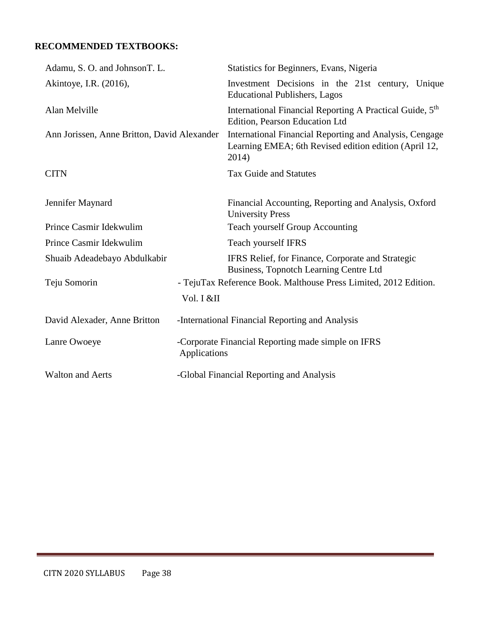## **RECOMMENDED TEXTBOOKS:**

| Adamu, S. O. and JohnsonT. L.               |              | Statistics for Beginners, Evans, Nigeria                                                                                  |
|---------------------------------------------|--------------|---------------------------------------------------------------------------------------------------------------------------|
| Akintoye, I.R. (2016),                      |              | Investment Decisions in the 21st century, Unique<br><b>Educational Publishers, Lagos</b>                                  |
| Alan Melville                               |              | International Financial Reporting A Practical Guide, 5 <sup>th</sup><br>Edition, Pearson Education Ltd                    |
| Ann Jorissen, Anne Britton, David Alexander |              | International Financial Reporting and Analysis, Cengage<br>Learning EMEA; 6th Revised edition edition (April 12,<br>2014) |
| <b>CITN</b>                                 |              | <b>Tax Guide and Statutes</b>                                                                                             |
| Jennifer Maynard                            |              | Financial Accounting, Reporting and Analysis, Oxford<br><b>University Press</b>                                           |
| Prince Casmir Idekwulim                     |              | Teach yourself Group Accounting                                                                                           |
| Prince Casmir Idekwulim                     |              | Teach yourself IFRS                                                                                                       |
| Shuaib Adeadebayo Abdulkabir                |              | IFRS Relief, for Finance, Corporate and Strategic<br>Business, Topnotch Learning Centre Ltd                               |
| Teju Somorin                                |              | - TejuTax Reference Book. Malthouse Press Limited, 2012 Edition.                                                          |
|                                             | Vol. I &II   |                                                                                                                           |
| David Alexader, Anne Britton                |              | -International Financial Reporting and Analysis                                                                           |
| Lanre Owoeye                                | Applications | -Corporate Financial Reporting made simple on IFRS                                                                        |
| <b>Walton and Aerts</b>                     |              | -Global Financial Reporting and Analysis                                                                                  |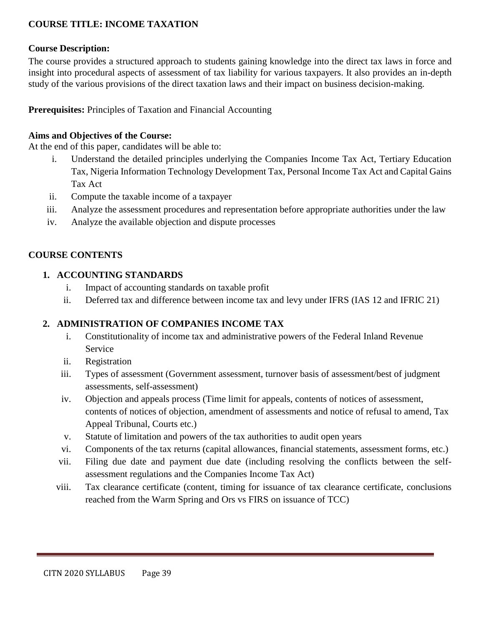### **COURSE TITLE: INCOME TAXATION**

#### **Course Description:**

The course provides a structured approach to students gaining knowledge into the direct tax laws in force and insight into procedural aspects of assessment of tax liability for various taxpayers. It also provides an in-depth study of the various provisions of the direct taxation laws and their impact on business decision-making.

**Prerequisites:** Principles of Taxation and Financial Accounting

#### **Aims and Objectives of the Course:**

At the end of this paper, candidates will be able to:

- i. Understand the detailed principles underlying the Companies Income Tax Act, Tertiary Education Tax, Nigeria Information Technology Development Tax, Personal Income Tax Act and Capital Gains Tax Act
- ii. Compute the taxable income of a taxpayer
- iii. Analyze the assessment procedures and representation before appropriate authorities under the law
- iv. Analyze the available objection and dispute processes

#### **COURSE CONTENTS**

#### **1. ACCOUNTING STANDARDS**

- i. Impact of accounting standards on taxable profit
- ii. Deferred tax and difference between income tax and levy under IFRS (IAS 12 and IFRIC 21)

### **2. ADMINISTRATION OF COMPANIES INCOME TAX**

- i. Constitutionality of income tax and administrative powers of the Federal Inland Revenue Service
- ii. Registration
- iii. Types of assessment (Government assessment, turnover basis of assessment/best of judgment assessments, self-assessment)
- iv. Objection and appeals process (Time limit for appeals, contents of notices of assessment, contents of notices of objection, amendment of assessments and notice of refusal to amend, Tax Appeal Tribunal, Courts etc.)
- v. Statute of limitation and powers of the tax authorities to audit open years
- vi. Components of the tax returns (capital allowances, financial statements, assessment forms, etc.)
- vii. Filing due date and payment due date (including resolving the conflicts between the selfassessment regulations and the Companies Income Tax Act)
- viii. Tax clearance certificate (content, timing for issuance of tax clearance certificate, conclusions reached from the Warm Spring and Ors vs FIRS on issuance of TCC)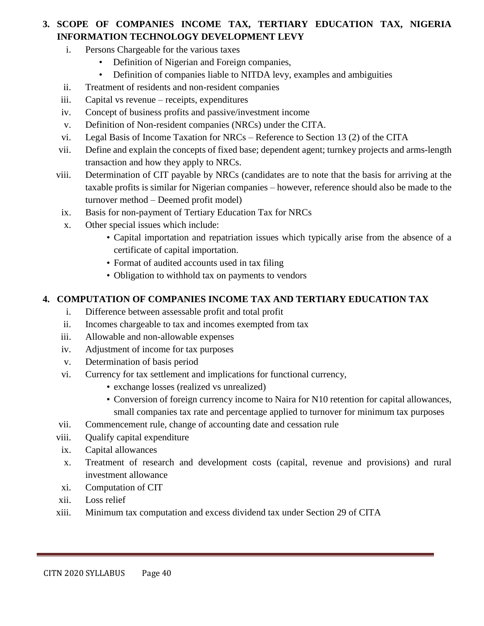# **3. SCOPE OF COMPANIES INCOME TAX, TERTIARY EDUCATION TAX, NIGERIA INFORMATION TECHNOLOGY DEVELOPMENT LEVY**

- i. Persons Chargeable for the various taxes
	- Definition of Nigerian and Foreign companies,
	- Definition of companies liable to NITDA levy, examples and ambiguities
- ii. Treatment of residents and non-resident companies
- iii. Capital vs revenue receipts, expenditures
- iv. Concept of business profits and passive/investment income
- v. Definition of Non-resident companies (NRCs) under the CITA.
- vi. Legal Basis of Income Taxation for NRCs Reference to Section 13 (2) of the CITA
- vii. Define and explain the concepts of fixed base; dependent agent; turnkey projects and arms-length transaction and how they apply to NRCs.
- viii. Determination of CIT payable by NRCs (candidates are to note that the basis for arriving at the taxable profits is similar for Nigerian companies – however, reference should also be made to the turnover method – Deemed profit model)
- ix. Basis for non-payment of Tertiary Education Tax for NRCs
- x. Other special issues which include:
	- Capital importation and repatriation issues which typically arise from the absence of a certificate of capital importation.
	- Format of audited accounts used in tax filing
	- Obligation to withhold tax on payments to vendors

### **4. COMPUTATION OF COMPANIES INCOME TAX AND TERTIARY EDUCATION TAX**

- i. Difference between assessable profit and total profit
- ii. Incomes chargeable to tax and incomes exempted from tax
- iii. Allowable and non-allowable expenses
- iv. Adjustment of income for tax purposes
- v. Determination of basis period
- vi. Currency for tax settlement and implications for functional currency,
	- exchange losses (realized vs unrealized)
	- Conversion of foreign currency income to Naira for N10 retention for capital allowances, small companies tax rate and percentage applied to turnover for minimum tax purposes
- vii. Commencement rule, change of accounting date and cessation rule
- viii. Qualify capital expenditure
- ix. Capital allowances
- x. Treatment of research and development costs (capital, revenue and provisions) and rural investment allowance
- xi. Computation of CIT
- xii. Loss relief
- xiii. Minimum tax computation and excess dividend tax under Section 29 of CITA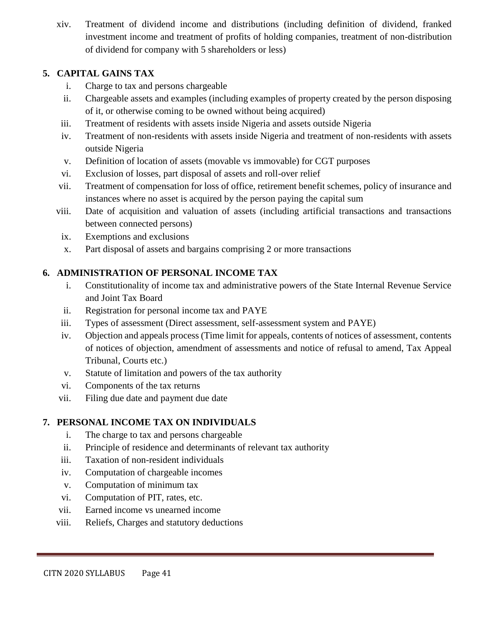xiv. Treatment of dividend income and distributions (including definition of dividend, franked investment income and treatment of profits of holding companies, treatment of non-distribution of dividend for company with 5 shareholders or less)

## **5. CAPITAL GAINS TAX**

- i. Charge to tax and persons chargeable
- ii. Chargeable assets and examples (including examples of property created by the person disposing of it, or otherwise coming to be owned without being acquired)
- iii. Treatment of residents with assets inside Nigeria and assets outside Nigeria
- iv. Treatment of non-residents with assets inside Nigeria and treatment of non-residents with assets outside Nigeria
- v. Definition of location of assets (movable vs immovable) for CGT purposes
- vi. Exclusion of losses, part disposal of assets and roll-over relief
- vii. Treatment of compensation for loss of office, retirement benefit schemes, policy of insurance and instances where no asset is acquired by the person paying the capital sum
- viii. Date of acquisition and valuation of assets (including artificial transactions and transactions between connected persons)
- ix. Exemptions and exclusions
- x. Part disposal of assets and bargains comprising 2 or more transactions

# **6. ADMINISTRATION OF PERSONAL INCOME TAX**

- i. Constitutionality of income tax and administrative powers of the State Internal Revenue Service and Joint Tax Board
- ii. Registration for personal income tax and PAYE
- iii. Types of assessment (Direct assessment, self-assessment system and PAYE)
- iv. Objection and appeals process (Time limit for appeals, contents of notices of assessment, contents of notices of objection, amendment of assessments and notice of refusal to amend, Tax Appeal Tribunal, Courts etc.)
- v. Statute of limitation and powers of the tax authority
- vi. Components of the tax returns
- vii. Filing due date and payment due date

# **7. PERSONAL INCOME TAX ON INDIVIDUALS**

- i. The charge to tax and persons chargeable
- ii. Principle of residence and determinants of relevant tax authority
- iii. Taxation of non-resident individuals
- iv. Computation of chargeable incomes
- v. Computation of minimum tax
- vi. Computation of PIT, rates, etc.
- vii. Earned income vs unearned income
- viii. Reliefs, Charges and statutory deductions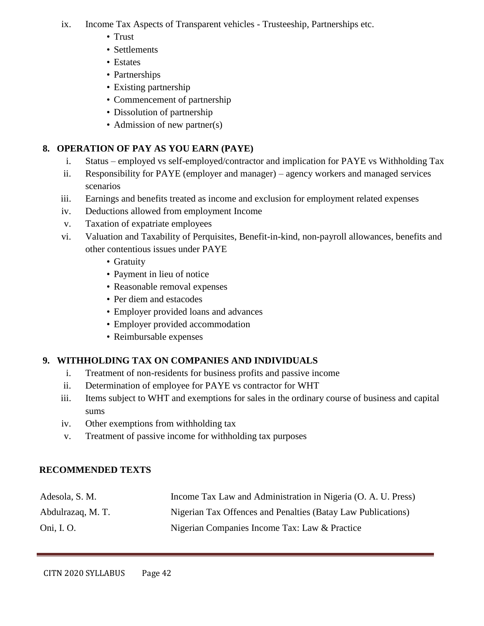- ix. Income Tax Aspects of Transparent vehicles Trusteeship, Partnerships etc.
	- Trust
	- Settlements
	- Estates
	- Partnerships
	- Existing partnership
	- Commencement of partnership
	- Dissolution of partnership
	- Admission of new partner(s)

# **8. OPERATION OF PAY AS YOU EARN (PAYE)**

- i. Status employed vs self-employed/contractor and implication for PAYE vs Withholding Tax
- ii. Responsibility for PAYE (employer and manager) agency workers and managed services scenarios
- iii. Earnings and benefits treated as income and exclusion for employment related expenses
- iv. Deductions allowed from employment Income
- v. Taxation of expatriate employees
- vi. Valuation and Taxability of Perquisites, Benefit-in-kind, non-payroll allowances, benefits and other contentious issues under PAYE
	- Gratuity
	- Payment in lieu of notice
	- Reasonable removal expenses
	- Per diem and estacodes
	- Employer provided loans and advances
	- Employer provided accommodation
	- Reimbursable expenses

# **9. WITHHOLDING TAX ON COMPANIES AND INDIVIDUALS**

- i. Treatment of non-residents for business profits and passive income
- ii. Determination of employee for PAYE vs contractor for WHT
- iii. Items subject to WHT and exemptions for sales in the ordinary course of business and capital sums
- iv. Other exemptions from withholding tax
- v. Treatment of passive income for withholding tax purposes

# **RECOMMENDED TEXTS**

| Adesola, S. M.    | Income Tax Law and Administration in Nigeria (O. A. U. Press) |
|-------------------|---------------------------------------------------------------|
| Abdulrazaq, M. T. | Nigerian Tax Offences and Penalties (Batay Law Publications)  |
| Oni, I. O.        | Nigerian Companies Income Tax: Law & Practice                 |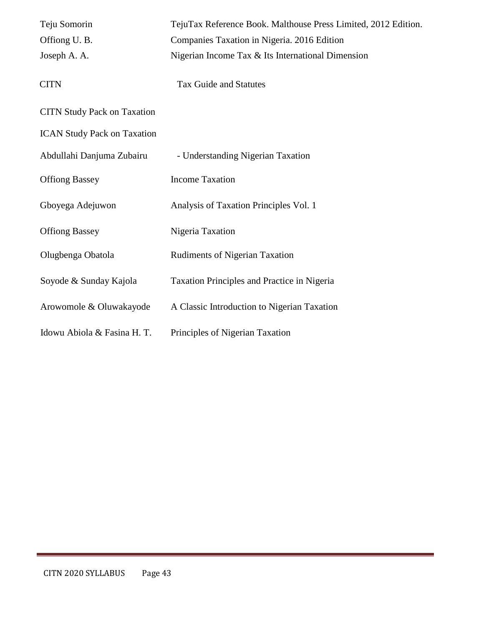| Teju Somorin                       | TejuTax Reference Book. Malthouse Press Limited, 2012 Edition. |
|------------------------------------|----------------------------------------------------------------|
| Offiong U.B.                       | Companies Taxation in Nigeria. 2016 Edition                    |
| Joseph A. A.                       | Nigerian Income Tax & Its International Dimension              |
| <b>CITN</b>                        | <b>Tax Guide and Statutes</b>                                  |
| <b>CITN Study Pack on Taxation</b> |                                                                |
| <b>ICAN Study Pack on Taxation</b> |                                                                |
| Abdullahi Danjuma Zubairu          | - Understanding Nigerian Taxation                              |
| <b>Offiong Bassey</b>              | <b>Income Taxation</b>                                         |
| Gboyega Adejuwon                   | Analysis of Taxation Principles Vol. 1                         |
| <b>Offiong Bassey</b>              | Nigeria Taxation                                               |
| Olugbenga Obatola                  | <b>Rudiments of Nigerian Taxation</b>                          |
| Soyode & Sunday Kajola             | Taxation Principles and Practice in Nigeria                    |
| Arowomole & Oluwakayode            | A Classic Introduction to Nigerian Taxation                    |
| Idowu Abiola & Fasina H. T.        | Principles of Nigerian Taxation                                |
|                                    |                                                                |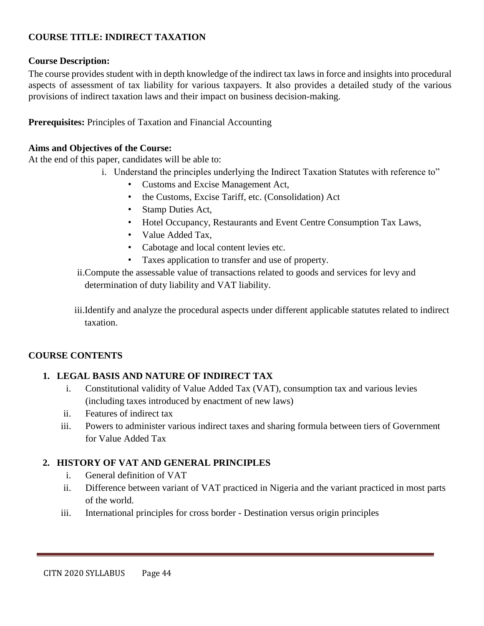### **COURSE TITLE: INDIRECT TAXATION**

### **Course Description:**

The course provides student with in depth knowledge of the indirect tax laws in force and insights into procedural aspects of assessment of tax liability for various taxpayers. It also provides a detailed study of the various provisions of indirect taxation laws and their impact on business decision-making.

**Prerequisites:** Principles of Taxation and Financial Accounting

#### **Aims and Objectives of the Course:**

At the end of this paper, candidates will be able to:

- i. Understand the principles underlying the Indirect Taxation Statutes with reference to"
	- Customs and Excise Management Act,
	- the Customs, Excise Tariff, etc. (Consolidation) Act
	- Stamp Duties Act,
	- Hotel Occupancy, Restaurants and Event Centre Consumption Tax Laws,
	- Value Added Tax,
	- Cabotage and local content levies etc.
	- Taxes application to transfer and use of property.
- ii.Compute the assessable value of transactions related to goods and services for levy and determination of duty liability and VAT liability.
- iii.Identify and analyze the procedural aspects under different applicable statutes related to indirect taxation.

### **COURSE CONTENTS**

### **1. LEGAL BASIS AND NATURE OF INDIRECT TAX**

- i. Constitutional validity of Value Added Tax (VAT), consumption tax and various levies (including taxes introduced by enactment of new laws)
- ii. Features of indirect tax
- iii. Powers to administer various indirect taxes and sharing formula between tiers of Government for Value Added Tax

### **2. HISTORY OF VAT AND GENERAL PRINCIPLES**

- i. General definition of VAT
- ii. Difference between variant of VAT practiced in Nigeria and the variant practiced in most parts of the world.
- iii. International principles for cross border Destination versus origin principles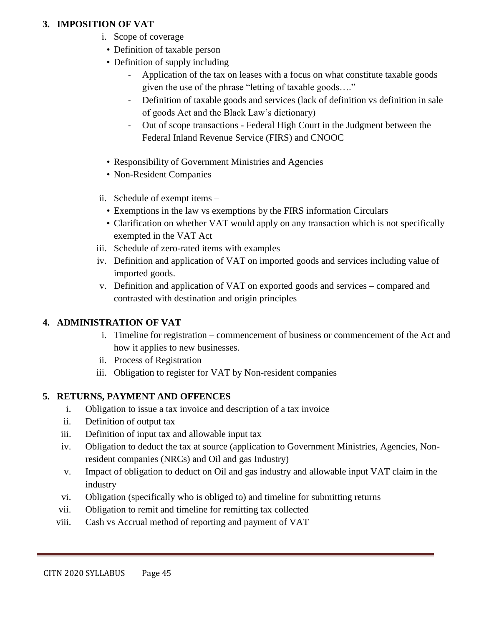### **3. IMPOSITION OF VAT**

- i. Scope of coverage
- Definition of taxable person
- Definition of supply including
	- Application of the tax on leases with a focus on what constitute taxable goods given the use of the phrase "letting of taxable goods…."
	- Definition of taxable goods and services (lack of definition vs definition in sale of goods Act and the Black Law's dictionary)
	- Out of scope transactions Federal High Court in the Judgment between the Federal Inland Revenue Service (FIRS) and CNOOC
- Responsibility of Government Ministries and Agencies
- Non-Resident Companies
- ii. Schedule of exempt items
	- Exemptions in the law vs exemptions by the FIRS information Circulars
	- Clarification on whether VAT would apply on any transaction which is not specifically exempted in the VAT Act
- iii. Schedule of zero-rated items with examples
- iv. Definition and application of VAT on imported goods and services including value of imported goods.
- v. Definition and application of VAT on exported goods and services compared and contrasted with destination and origin principles

### **4. ADMINISTRATION OF VAT**

- i. Timeline for registration commencement of business or commencement of the Act and how it applies to new businesses.
- ii. Process of Registration
- iii. Obligation to register for VAT by Non-resident companies

### **5. RETURNS, PAYMENT AND OFFENCES**

- i. Obligation to issue a tax invoice and description of a tax invoice
- ii. Definition of output tax
- iii. Definition of input tax and allowable input tax
- iv. Obligation to deduct the tax at source (application to Government Ministries, Agencies, Nonresident companies (NRCs) and Oil and gas Industry)
- v. Impact of obligation to deduct on Oil and gas industry and allowable input VAT claim in the industry
- vi. Obligation (specifically who is obliged to) and timeline for submitting returns
- vii. Obligation to remit and timeline for remitting tax collected
- viii. Cash vs Accrual method of reporting and payment of VAT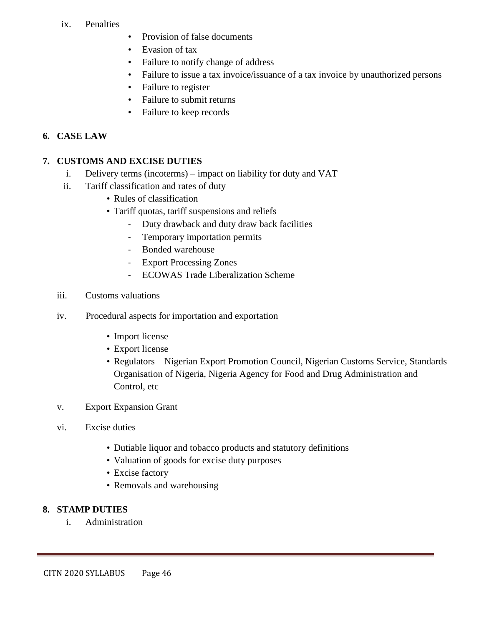#### ix. Penalties

- Provision of false documents
- Evasion of tax
- Failure to notify change of address
- Failure to issue a tax invoice/issuance of a tax invoice by unauthorized persons
- Failure to register
- Failure to submit returns
- Failure to keep records

### **6. CASE LAW**

### **7. CUSTOMS AND EXCISE DUTIES**

- i. Delivery terms (incoterms) impact on liability for duty and VAT
- ii. Tariff classification and rates of duty
	- Rules of classification
	- Tariff quotas, tariff suspensions and reliefs
		- Duty drawback and duty draw back facilities
		- Temporary importation permits
		- Bonded warehouse
		- **Export Processing Zones**
		- ECOWAS Trade Liberalization Scheme
- iii. Customs valuations
- iv. Procedural aspects for importation and exportation
	- Import license
	- Export license
	- Regulators Nigerian Export Promotion Council, Nigerian Customs Service, Standards Organisation of Nigeria, Nigeria Agency for Food and Drug Administration and Control, etc
- v. Export Expansion Grant
- vi. Excise duties
	- Dutiable liquor and tobacco products and statutory definitions
	- Valuation of goods for excise duty purposes
	- Excise factory
	- Removals and warehousing

### **8. STAMP DUTIES**

i. Administration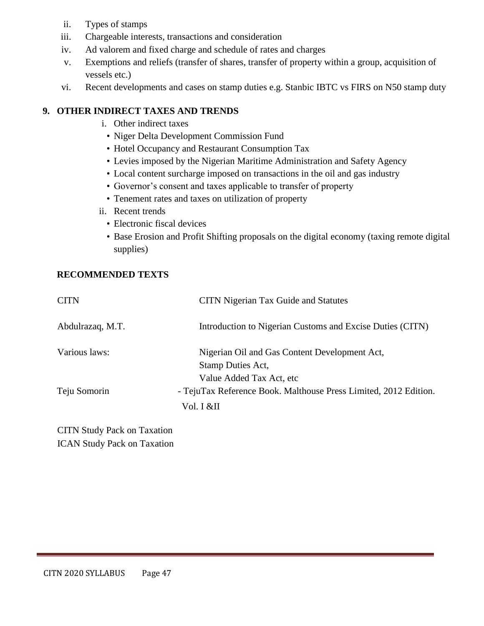- ii. Types of stamps
- iii. Chargeable interests, transactions and consideration
- iv. Ad valorem and fixed charge and schedule of rates and charges
- v. Exemptions and reliefs (transfer of shares, transfer of property within a group, acquisition of vessels etc.)
- vi. Recent developments and cases on stamp duties e.g. Stanbic IBTC vs FIRS on N50 stamp duty

## **9. OTHER INDIRECT TAXES AND TRENDS**

- i. Other indirect taxes
- Niger Delta Development Commission Fund
- Hotel Occupancy and Restaurant Consumption Tax
- Levies imposed by the Nigerian Maritime Administration and Safety Agency
- Local content surcharge imposed on transactions in the oil and gas industry
- Governor's consent and taxes applicable to transfer of property
- Tenement rates and taxes on utilization of property
- ii. Recent trends
	- Electronic fiscal devices
	- Base Erosion and Profit Shifting proposals on the digital economy (taxing remote digital supplies)

### **RECOMMENDED TEXTS**

| <b>CITN</b>      | <b>CITN</b> Nigerian Tax Guide and Statutes                      |
|------------------|------------------------------------------------------------------|
| Abdulrazaq, M.T. | Introduction to Nigerian Customs and Excise Duties (CITN)        |
| Various laws:    | Nigerian Oil and Gas Content Development Act,                    |
|                  | Stamp Duties Act,                                                |
|                  | Value Added Tax Act, etc                                         |
| Teju Somorin     | - TejuTax Reference Book. Malthouse Press Limited, 2012 Edition. |
|                  | Vol. I &II                                                       |

CITN Study Pack on Taxation ICAN Study Pack on Taxation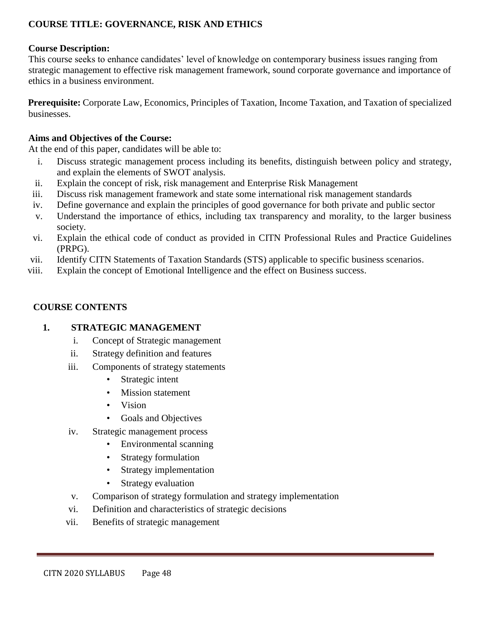## **COURSE TITLE: GOVERNANCE, RISK AND ETHICS**

#### **Course Description:**

This course seeks to enhance candidates' level of knowledge on contemporary business issues ranging from strategic management to effective risk management framework, sound corporate governance and importance of ethics in a business environment.

**Prerequisite:** Corporate Law, Economics, Principles of Taxation, Income Taxation, and Taxation of specialized businesses.

#### **Aims and Objectives of the Course:**

At the end of this paper, candidates will be able to:

- i. Discuss strategic management process including its benefits, distinguish between policy and strategy, and explain the elements of SWOT analysis.
- ii. Explain the concept of risk, risk management and Enterprise Risk Management
- iii. Discuss risk management framework and state some international risk management standards
- iv. Define governance and explain the principles of good governance for both private and public sector
- v. Understand the importance of ethics, including tax transparency and morality, to the larger business society.
- vi. Explain the ethical code of conduct as provided in CITN Professional Rules and Practice Guidelines (PRPG).
- vii. Identify CITN Statements of Taxation Standards (STS) applicable to specific business scenarios.
- viii. Explain the concept of Emotional Intelligence and the effect on Business success.

#### **COURSE CONTENTS**

#### **1. STRATEGIC MANAGEMENT**

- i. Concept of Strategic management
- ii. Strategy definition and features
- iii. Components of strategy statements
	- Strategic intent
	- Mission statement
	- Vision
	- Goals and Objectives
- iv. Strategic management process
	- Environmental scanning
	- Strategy formulation
	- Strategy implementation
	- Strategy evaluation
- v. Comparison of strategy formulation and strategy implementation
- vi. Definition and characteristics of strategic decisions
- vii. Benefits of strategic management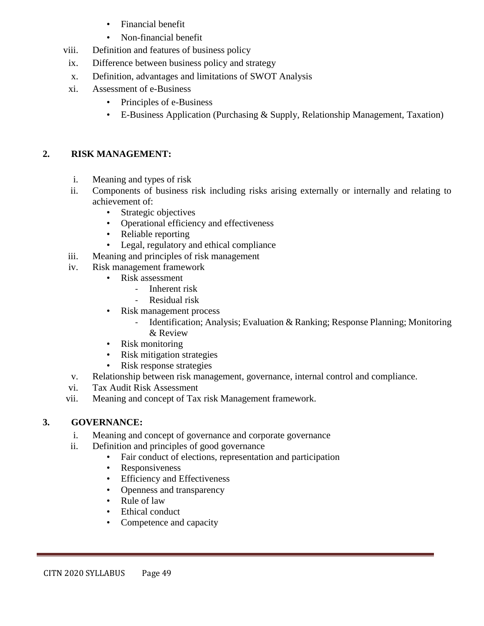- Financial benefit
- Non-financial benefit
- viii. Definition and features of business policy
- ix. Difference between business policy and strategy
- x. Definition, advantages and limitations of SWOT Analysis
- xi. Assessment of e-Business
	- Principles of e-Business
	- E-Business Application (Purchasing & Supply, Relationship Management, Taxation)

# **2. RISK MANAGEMENT:**

- i. Meaning and types of risk
- ii. Components of business risk including risks arising externally or internally and relating to achievement of:
	- Strategic objectives
	- Operational efficiency and effectiveness
	- Reliable reporting
	- Legal, regulatory and ethical compliance
- iii. Meaning and principles of risk management
- iv. Risk management framework
	- Risk assessment
		- Inherent risk
		- Residual risk
	- Risk management process
		- Identification; Analysis; Evaluation & Ranking; Response Planning; Monitoring & Review
	- Risk monitoring
	- Risk mitigation strategies
	- Risk response strategies
- v. Relationship between risk management, governance, internal control and compliance.
- vi. Tax Audit Risk Assessment
- vii. Meaning and concept of Tax risk Management framework.

# **3. GOVERNANCE:**

- i. Meaning and concept of governance and corporate governance
- ii. Definition and principles of good governance
	- Fair conduct of elections, representation and participation
	- Responsiveness
	- **Efficiency and Effectiveness**
	- Openness and transparency
	- Rule of law
	- Ethical conduct
	- Competence and capacity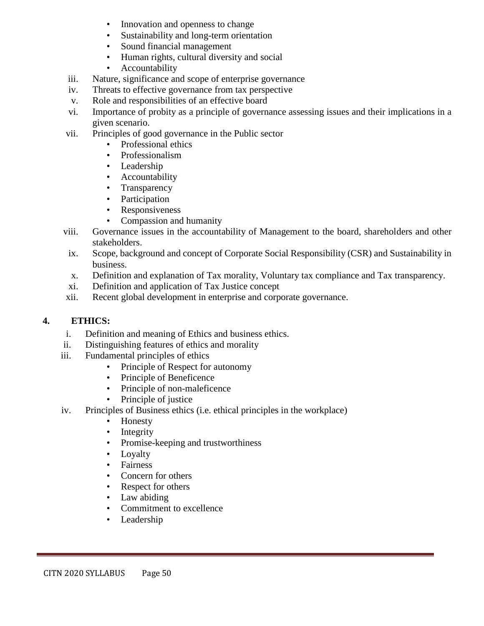- Innovation and openness to change
- Sustainability and long-term orientation
- Sound financial management
- Human rights, cultural diversity and social
- Accountability
- iii. Nature, significance and scope of enterprise governance
- iv. Threats to effective governance from tax perspective
- v. Role and responsibilities of an effective board
- vi. Importance of probity as a principle of governance assessing issues and their implications in a given scenario.
- vii. Principles of good governance in the Public sector
	- Professional ethics
	- Professionalism
	- Leadership
	- **Accountability**
	- **Transparency**
	- Participation
	- **Responsiveness**
	- Compassion and humanity
- viii. Governance issues in the accountability of Management to the board, shareholders and other stakeholders.
- ix. Scope, background and concept of Corporate Social Responsibility (CSR) and Sustainability in business.
- x. Definition and explanation of Tax morality, Voluntary tax compliance and Tax transparency.
- xi. Definition and application of Tax Justice concept
- xii. Recent global development in enterprise and corporate governance.

# **4. ETHICS:**

- i. Definition and meaning of Ethics and business ethics.
- ii. Distinguishing features of ethics and morality
- iii. Fundamental principles of ethics
	- Principle of Respect for autonomy
	- Principle of Beneficence
	- Principle of non-maleficence
	- Principle of justice
- iv. Principles of Business ethics (i.e. ethical principles in the workplace)
	- Honesty
	- **Integrity**
	- Promise-keeping and trustworthiness
	- **Loyalty**
	- **Fairness**
	- Concern for others
	- Respect for others
	- Law abiding
	- Commitment to excellence
	- **Leadership**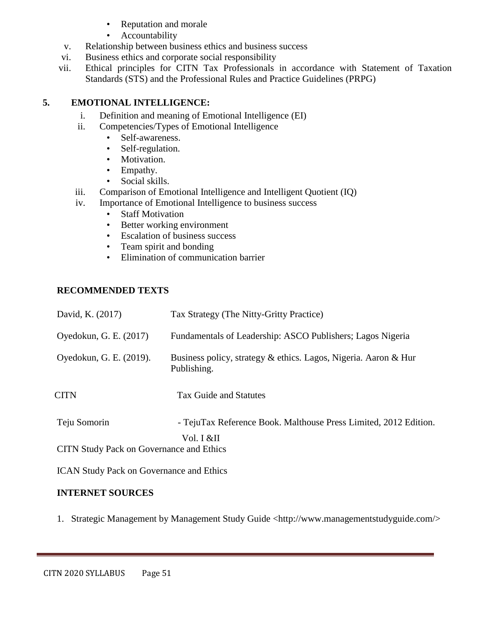- Reputation and morale
- **Accountability**
- v. Relationship between business ethics and business success
- vi. Business ethics and corporate social responsibility
- vii. Ethical principles for CITN Tax Professionals in accordance with Statement of Taxation Standards (STS) and the Professional Rules and Practice Guidelines (PRPG)

### **5. EMOTIONAL INTELLIGENCE:**

- i. Definition and meaning of Emotional Intelligence (EI)
- ii. Competencies/Types of Emotional Intelligence
	- Self-awareness.
	- Self-regulation.
	- Motivation.
	- Empathy.
	- Social skills.
- iii. Comparison of Emotional Intelligence and Intelligent Quotient (IQ)
- iv. Importance of Emotional Intelligence to business success
	- Staff Motivation
	- Better working environment
	- Escalation of business success
	- Team spirit and bonding
	- Elimination of communication barrier

### **RECOMMENDED TEXTS**

| David, K. (2017)                                | Tax Strategy (The Nitty-Gritty Practice)                                       |
|-------------------------------------------------|--------------------------------------------------------------------------------|
| Oyedokun, G. E. (2017)                          | Fundamentals of Leadership: ASCO Publishers; Lagos Nigeria                     |
| Oyedokun, G. E. (2019).                         | Business policy, strategy & ethics. Lagos, Nigeria. Aaron & Hur<br>Publishing. |
| <b>CITN</b>                                     | Tax Guide and Statutes                                                         |
| Teju Somorin                                    | - TejuTax Reference Book. Malthouse Press Limited, 2012 Edition.<br>Vol. I &II |
| <b>CITN Study Pack on Governance and Ethics</b> |                                                                                |

ICAN Study Pack on Governance and Ethics

### **INTERNET SOURCES**

1. Strategic Management by Management Study Guide <http://www.managementstudyguide.com/>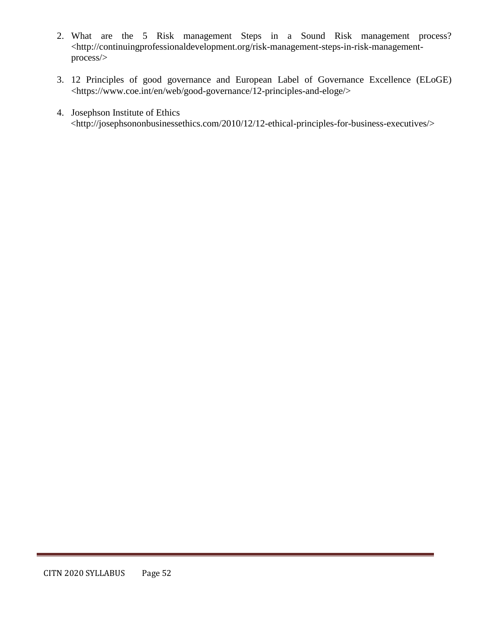- 2. What are the 5 Risk management Steps in a Sound Risk management process? <http://continuingprofessionaldevelopment.org/risk-management-steps-in-risk-managementprocess/>
- 3. 12 Principles of good governance and European Label of Governance Excellence (ELoGE) <https://www.coe.int/en/web/good-governance/12-principles-and-eloge/>
- 4. Josephson Institute of Ethics <http://josephsononbusinessethics.com/2010/12/12-ethical-principles-for-business-executives/>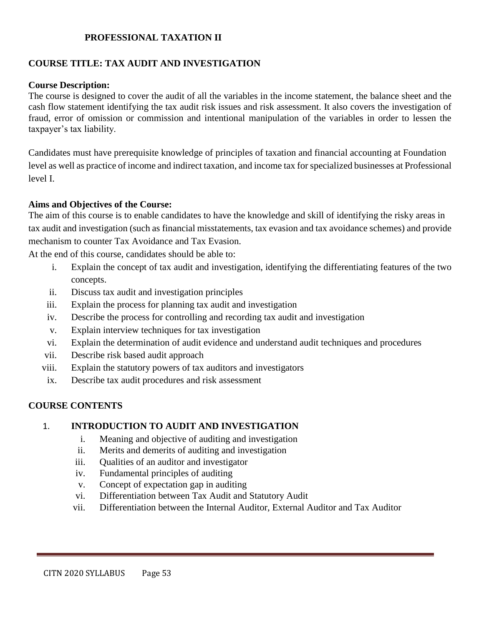### **PROFESSIONAL TAXATION II**

### **COURSE TITLE: TAX AUDIT AND INVESTIGATION**

#### **Course Description:**

The course is designed to cover the audit of all the variables in the income statement, the balance sheet and the cash flow statement identifying the tax audit risk issues and risk assessment. It also covers the investigation of fraud, error of omission or commission and intentional manipulation of the variables in order to lessen the taxpayer's tax liability.

Candidates must have prerequisite knowledge of principles of taxation and financial accounting at Foundation level as well as practice of income and indirect taxation, and income tax for specialized businesses at Professional level I.

#### **Aims and Objectives of the Course:**

The aim of this course is to enable candidates to have the knowledge and skill of identifying the risky areas in tax audit and investigation (such as financial misstatements, tax evasion and tax avoidance schemes) and provide mechanism to counter Tax Avoidance and Tax Evasion.

At the end of this course, candidates should be able to:

- i. Explain the concept of tax audit and investigation, identifying the differentiating features of the two concepts.
- ii. Discuss tax audit and investigation principles
- iii. Explain the process for planning tax audit and investigation
- iv. Describe the process for controlling and recording tax audit and investigation
- v. Explain interview techniques for tax investigation
- vi. Explain the determination of audit evidence and understand audit techniques and procedures
- vii. Describe risk based audit approach
- viii. Explain the statutory powers of tax auditors and investigators
- ix. Describe tax audit procedures and risk assessment

### **COURSE CONTENTS**

#### 1. **INTRODUCTION TO AUDIT AND INVESTIGATION**

- i. Meaning and objective of auditing and investigation
- ii. Merits and demerits of auditing and investigation
- iii. Qualities of an auditor and investigator
- iv. Fundamental principles of auditing
- v. Concept of expectation gap in auditing
- vi. Differentiation between Tax Audit and Statutory Audit
- vii. Differentiation between the Internal Auditor, External Auditor and Tax Auditor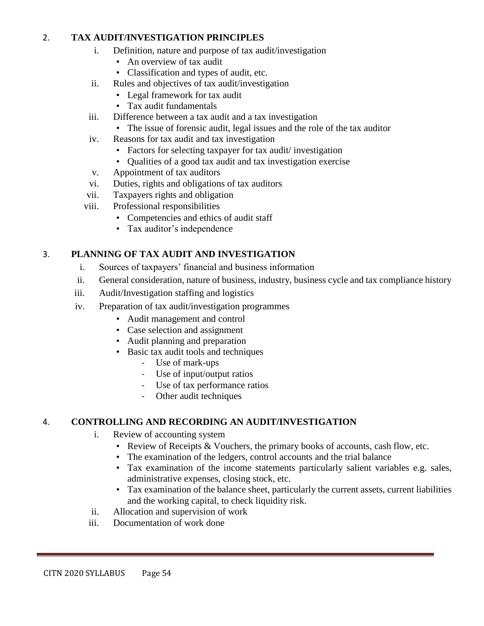### 2. **TAX AUDIT/INVESTIGATION PRINCIPLES**

- i. Definition, nature and purpose of tax audit/investigation
	- An overview of tax audit
	- Classification and types of audit, etc.
- ii. Rules and objectives of tax audit/investigation
	- Legal framework for tax audit
	- Tax audit fundamentals
- iii. Difference between a tax audit and a tax investigation
	- The issue of forensic audit, legal issues and the role of the tax auditor
- iv. Reasons for tax audit and tax investigation
	- Factors for selecting taxpayer for tax audit/investigation
	- Qualities of a good tax audit and tax investigation exercise
- v. Appointment of tax auditors
- vi. Duties, rights and obligations of tax auditors
- vii. Taxpayers rights and obligation
- viii. Professional responsibilities
	- Competencies and ethics of audit staff
	- Tax auditor's independence

### 3. **PLANNING OF TAX AUDIT AND INVESTIGATION**

- i. Sources of taxpayers' financial and business information
- ii. General consideration, nature of business, industry, business cycle and tax compliance history
- iii. Audit/Investigation staffing and logistics
- iv. Preparation of tax audit/investigation programmes
	- Audit management and control
	- Case selection and assignment
	- Audit planning and preparation
	- Basic tax audit tools and techniques
		- Use of mark-ups
		- Use of input/output ratios
		- Use of tax performance ratios
		- Other audit techniques

### 4. **CONTROLLING AND RECORDING AN AUDIT/INVESTIGATION**

- i. Review of accounting system
	- Review of Receipts & Vouchers, the primary books of accounts, cash flow, etc.
	- The examination of the ledgers, control accounts and the trial balance
	- Tax examination of the income statements particularly salient variables e.g. sales, administrative expenses, closing stock, etc.
	- Tax examination of the balance sheet, particularly the current assets, current liabilities and the working capital, to check liquidity risk.
- ii. Allocation and supervision of work
- iii. Documentation of work done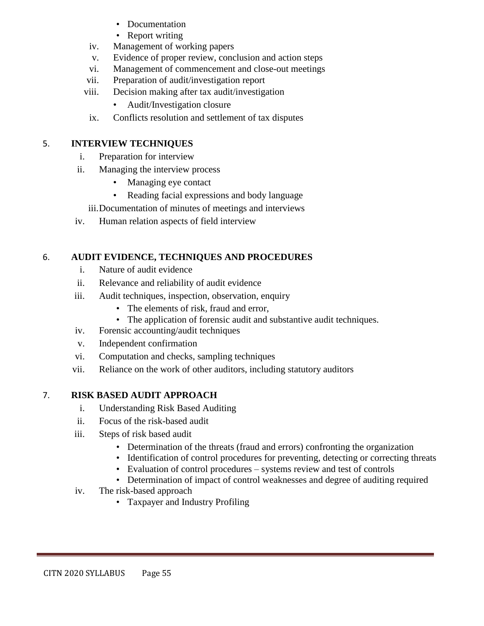- Documentation
- Report writing
- iv. Management of working papers
- v. Evidence of proper review, conclusion and action steps
- vi. Management of commencement and close-out meetings
- vii. Preparation of audit/investigation report
- viii. Decision making after tax audit/investigation
	- Audit/Investigation closure
- ix. Conflicts resolution and settlement of tax disputes

# 5. **INTERVIEW TECHNIQUES**

- i. Preparation for interview
- ii. Managing the interview process
	- Managing eye contact
	- Reading facial expressions and body language
	- iii.Documentation of minutes of meetings and interviews
- iv. Human relation aspects of field interview

# 6. **AUDIT EVIDENCE, TECHNIQUES AND PROCEDURES**

- i. Nature of audit evidence
- ii. Relevance and reliability of audit evidence
- iii. Audit techniques, inspection, observation, enquiry
	- The elements of risk, fraud and error,
	- The application of forensic audit and substantive audit techniques.
- iv. Forensic accounting/audit techniques
- v. Independent confirmation
- vi. Computation and checks, sampling techniques
- vii. Reliance on the work of other auditors, including statutory auditors

# 7. **RISK BASED AUDIT APPROACH**

- i. Understanding Risk Based Auditing
- ii. Focus of the risk-based audit
- iii. Steps of risk based audit
	- Determination of the threats (fraud and errors) confronting the organization
	- Identification of control procedures for preventing, detecting or correcting threats
	- Evaluation of control procedures systems review and test of controls
	- Determination of impact of control weaknesses and degree of auditing required
- iv. The risk-based approach
	- Taxpayer and Industry Profiling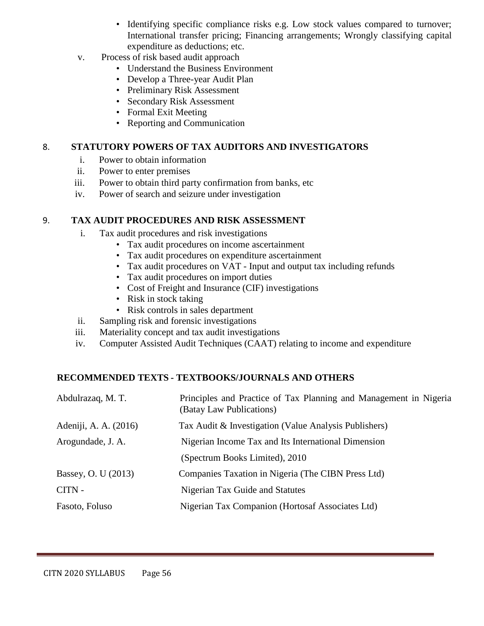- Identifying specific compliance risks e.g. Low stock values compared to turnover; International transfer pricing; Financing arrangements; Wrongly classifying capital expenditure as deductions; etc.
- v. Process of risk based audit approach
	- Understand the Business Environment
	- Develop a Three-year Audit Plan
	- Preliminary Risk Assessment
	- Secondary Risk Assessment
	- Formal Exit Meeting
	- Reporting and Communication

#### 8. **STATUTORY POWERS OF TAX AUDITORS AND INVESTIGATORS**

- i. Power to obtain information
- ii. Power to enter premises
- iii. Power to obtain third party confirmation from banks, etc
- iv. Power of search and seizure under investigation

#### 9. **TAX AUDIT PROCEDURES AND RISK ASSESSMENT**

- i. Tax audit procedures and risk investigations
	- Tax audit procedures on income ascertainment
	- Tax audit procedures on expenditure ascertainment
	- Tax audit procedures on VAT Input and output tax including refunds
	- Tax audit procedures on import duties
	- Cost of Freight and Insurance (CIF) investigations
	- Risk in stock taking
	- Risk controls in sales department
- ii. Sampling risk and forensic investigations
- iii. Materiality concept and tax audit investigations
- iv. Computer Assisted Audit Techniques (CAAT) relating to income and expenditure

### **RECOMMENDED TEXTS - TEXTBOOKS/JOURNALS AND OTHERS**

| Abdulrazaq, M. T.     | Principles and Practice of Tax Planning and Management in Nigeria<br>(Batay Law Publications) |
|-----------------------|-----------------------------------------------------------------------------------------------|
| Adeniji, A. A. (2016) | Tax Audit & Investigation (Value Analysis Publishers)                                         |
| Arogundade, J. A.     | Nigerian Income Tax and Its International Dimension                                           |
|                       | (Spectrum Books Limited), 2010                                                                |
| Bassey, O. U (2013)   | Companies Taxation in Nigeria (The CIBN Press Ltd)                                            |
| CITN -                | Nigerian Tax Guide and Statutes                                                               |
| Fasoto, Foluso        | Nigerian Tax Companion (Hortosaf Associates Ltd)                                              |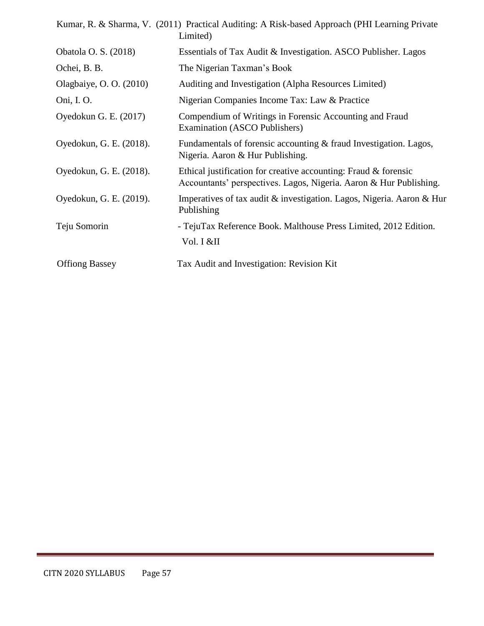|                         | Kumar, R. & Sharma, V. (2011) Practical Auditing: A Risk-based Approach (PHI Learning Private<br>Limited)                                |
|-------------------------|------------------------------------------------------------------------------------------------------------------------------------------|
| Obatola O. S. (2018)    | Essentials of Tax Audit & Investigation. ASCO Publisher. Lagos                                                                           |
| Ochei, B. B.            | The Nigerian Taxman's Book                                                                                                               |
| Olagbaiye, O. O. (2010) | Auditing and Investigation (Alpha Resources Limited)                                                                                     |
| Oni, I. O.              | Nigerian Companies Income Tax: Law & Practice                                                                                            |
| Oyedokun G. E. (2017)   | Compendium of Writings in Forensic Accounting and Fraud<br>Examination (ASCO Publishers)                                                 |
| Oyedokun, G. E. (2018). | Fundamentals of forensic accounting & fraud Investigation. Lagos,<br>Nigeria. Aaron & Hur Publishing.                                    |
| Oyedokun, G. E. (2018). | Ethical justification for creative accounting: Fraud $\&$ forensic<br>Accountants' perspectives. Lagos, Nigeria. Aaron & Hur Publishing. |
| Oyedokun, G. E. (2019). | Imperatives of tax audit & investigation. Lagos, Nigeria. Aaron & Hur<br>Publishing                                                      |
| Teju Somorin            | - TejuTax Reference Book. Malthouse Press Limited, 2012 Edition.<br>Vol. I &II                                                           |
| <b>Offiong Bassey</b>   | Tax Audit and Investigation: Revision Kit                                                                                                |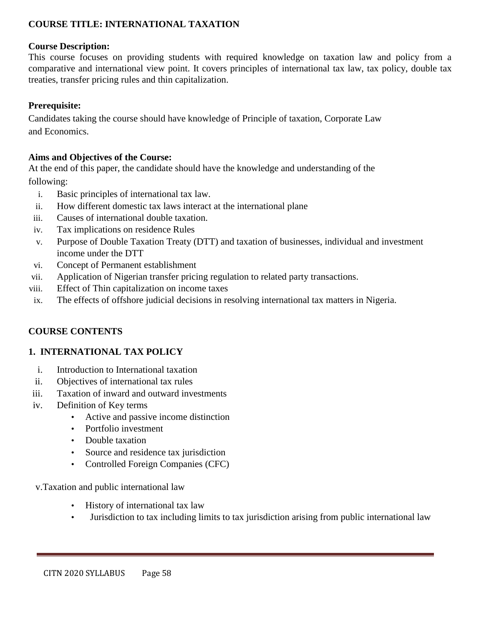### **COURSE TITLE: INTERNATIONAL TAXATION**

#### **Course Description:**

This course focuses on providing students with required knowledge on taxation law and policy from a comparative and international view point. It covers principles of international tax law, tax policy, double tax treaties, transfer pricing rules and thin capitalization.

### **Prerequisite:**

Candidates taking the course should have knowledge of Principle of taxation, Corporate Law and Economics.

#### **Aims and Objectives of the Course:**

At the end of this paper, the candidate should have the knowledge and understanding of the following:

- i. Basic principles of international tax law.
- ii. How different domestic tax laws interact at the international plane
- iii. Causes of international double taxation.
- iv. Tax implications on residence Rules
- v. Purpose of Double Taxation Treaty (DTT) and taxation of businesses, individual and investment income under the DTT
- vi. Concept of Permanent establishment
- vii. Application of Nigerian transfer pricing regulation to related party transactions.
- viii. Effect of Thin capitalization on income taxes
- ix. The effects of offshore judicial decisions in resolving international tax matters in Nigeria.

### **COURSE CONTENTS**

### **1. INTERNATIONAL TAX POLICY**

- i. Introduction to International taxation
- ii. Objectives of international tax rules
- iii. Taxation of inward and outward investments
- iv. Definition of Key terms
	- Active and passive income distinction
	- Portfolio investment
	- Double taxation
	- Source and residence tax jurisdiction
	- Controlled Foreign Companies (CFC)

#### v.Taxation and public international law

- History of international tax law
- Jurisdiction to tax including limits to tax jurisdiction arising from public international law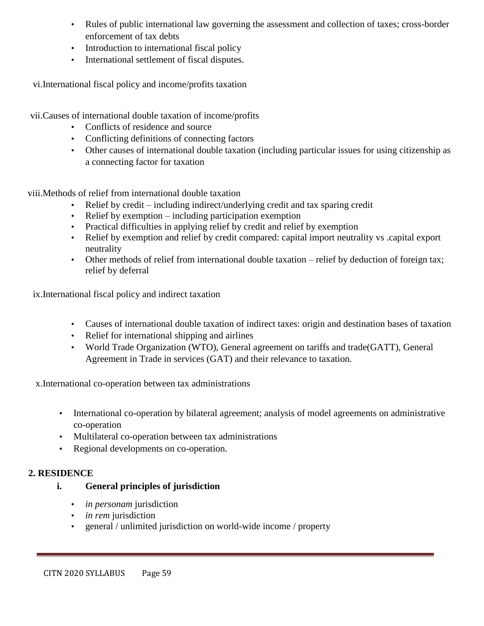- Rules of public international law governing the assessment and collection of taxes; cross-border enforcement of tax debts
- Introduction to international fiscal policy
- International settlement of fiscal disputes.

vi.International fiscal policy and income/profits taxation

vii.Causes of international double taxation of income/profits

- Conflicts of residence and source
- Conflicting definitions of connecting factors
- Other causes of international double taxation (including particular issues for using citizenship as a connecting factor for taxation

viii.Methods of relief from international double taxation

- Relief by credit including indirect/underlying credit and tax sparing credit
- Relief by exemption including participation exemption
- Practical difficulties in applying relief by credit and relief by exemption
- Relief by exemption and relief by credit compared: capital import neutrality vs .capital export neutrality
- Other methods of relief from international double taxation relief by deduction of foreign tax; relief by deferral

ix.International fiscal policy and indirect taxation

- Causes of international double taxation of indirect taxes: origin and destination bases of taxation
- Relief for international shipping and airlines
- World Trade Organization (WTO), General agreement on tariffs and trade(GATT), General Agreement in Trade in services (GAT) and their relevance to taxation.

x.International co-operation between tax administrations

- International co-operation by bilateral agreement; analysis of model agreements on administrative co-operation
- Multilateral co-operation between tax administrations
- Regional developments on co-operation.

### **2. RESIDENCE**

### **i. General principles of jurisdiction**

- *in personam* jurisdiction
- *in rem* jurisdiction
- general / unlimited jurisdiction on world-wide income / property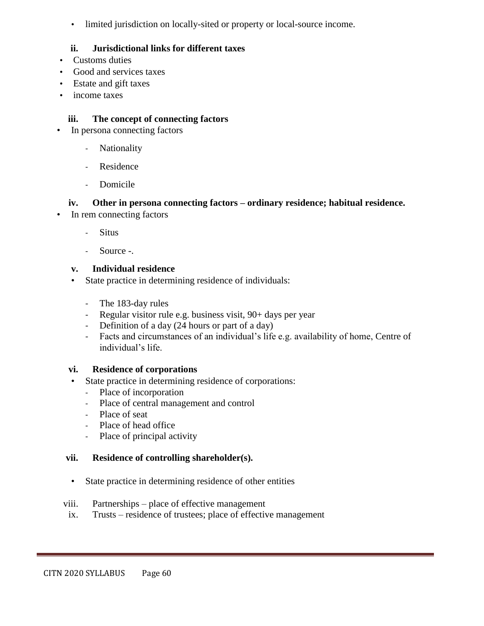• limited jurisdiction on locally-sited or property or local-source income.

### **ii. Jurisdictional links for different taxes**

- Customs duties
- Good and services taxes
- Estate and gift taxes
- income taxes

### **iii. The concept of connecting factors**

- In persona connecting factors
	- Nationality
	- Residence
	- Domicile

### **iv. Other in persona connecting factors – ordinary residence; habitual residence.**

- In rem connecting factors
	- **Situs**
	- Source -.

### **v. Individual residence**

- State practice in determining residence of individuals:
	- The 183-day rules
	- Regular visitor rule e.g. business visit, 90+ days per year
	- Definition of a day (24 hours or part of a day)
	- Facts and circumstances of an individual's life e.g. availability of home, Centre of individual's life.

### **vi. Residence of corporations**

- State practice in determining residence of corporations:
	- Place of incorporation
	- Place of central management and control
	- Place of seat
	- Place of head office
	- Place of principal activity

### **vii. Residence of controlling shareholder(s).**

- State practice in determining residence of other entities
- viii. Partnerships place of effective management
- ix. Trusts residence of trustees; place of effective management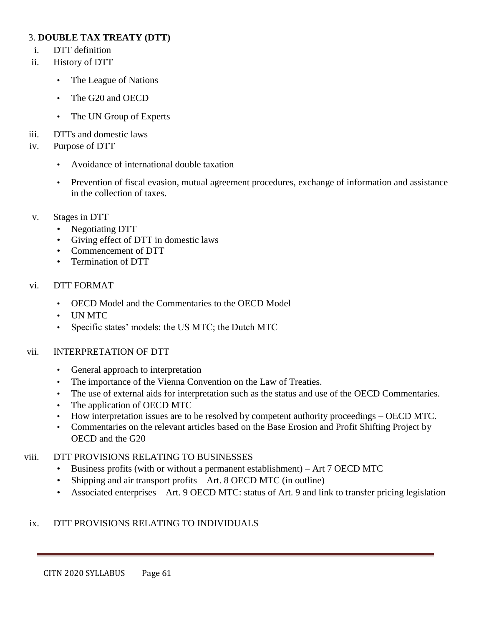### 3. **DOUBLE TAX TREATY (DTT)**

- i. DTT definition
- ii. History of DTT
	- The League of Nations
	- The G20 and OECD
	- The UN Group of Experts
- iii. DTTs and domestic laws
- iv. Purpose of DTT
	- Avoidance of international double taxation
	- Prevention of fiscal evasion, mutual agreement procedures, exchange of information and assistance in the collection of taxes.
- v. Stages in DTT
	- Negotiating DTT
	- Giving effect of DTT in domestic laws
	- Commencement of DTT
	- Termination of DTT

### vi. DTT FORMAT

- OECD Model and the Commentaries to the OECD Model
- UN MTC
- Specific states' models: the US MTC; the Dutch MTC

### vii. INTERPRETATION OF DTT

- General approach to interpretation
- The importance of the Vienna Convention on the Law of Treaties.
- The use of external aids for interpretation such as the status and use of the OECD Commentaries.
- The application of OECD MTC
- How interpretation issues are to be resolved by competent authority proceedings OECD MTC.
- Commentaries on the relevant articles based on the Base Erosion and Profit Shifting Project by OECD and the G20

### viii. DTT PROVISIONS RELATING TO BUSINESSES

- Business profits (with or without a permanent establishment) Art 7 OECD MTC
- Shipping and air transport profits Art. 8 OECD MTC (in outline)
- Associated enterprises Art. 9 OECD MTC: status of Art. 9 and link to transfer pricing legislation

### ix. DTT PROVISIONS RELATING TO INDIVIDUALS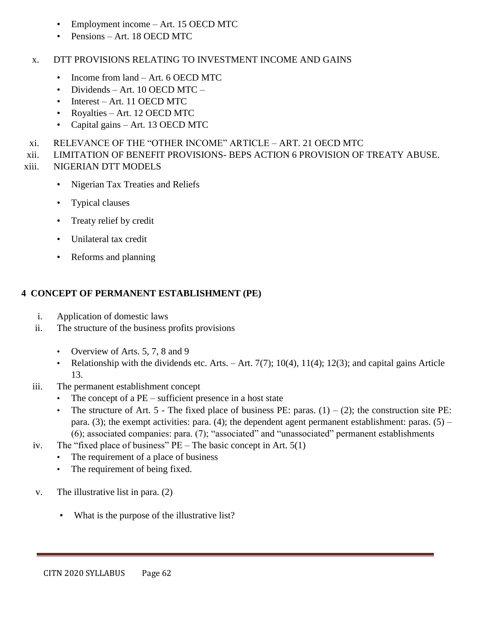- Employment income Art. 15 OECD MTC
- Pensions Art. 18 OECD MTC
- x. DTT PROVISIONS RELATING TO INVESTMENT INCOME AND GAINS
	- Income from land Art. 6 OECD MTC
	- Dividends Art. 10 OECD MTC –
	- Interest Art. 11 OECD MTC
	- Royalties Art. 12 OECD MTC
	- Capital gains Art. 13 OECD MTC
- xi. RELEVANCE OF THE "OTHER INCOME" ARTICLE ART. 21 OECD MTC
- xii. LIMITATION OF BENEFIT PROVISIONS- BEPS ACTION 6 PROVISION OF TREATY ABUSE.
- xiii. NIGERIAN DTT MODELS
	- Nigerian Tax Treaties and Reliefs
	- Typical clauses
	- Treaty relief by credit
	- Unilateral tax credit
	- Reforms and planning

# **4 CONCEPT OF PERMANENT ESTABLISHMENT (PE)**

- i. Application of domestic laws
- ii. The structure of the business profits provisions
	- Overview of Arts. 5, 7, 8 and 9
	- Relationship with the dividends etc. Arts.  $-$  Art. 7(7); 10(4), 11(4); 12(3); and capital gains Article 13.
- iii. The permanent establishment concept
	- The concept of a  $PE$  sufficient presence in a host state
	- The structure of Art. 5 The fixed place of business PE: paras.  $(1) (2)$ ; the construction site PE: para. (3); the exempt activities: para. (4); the dependent agent permanent establishment: paras. (5) – (6); associated companies: para. (7); "associated" and "unassociated" permanent establishments
- iv. The "fixed place of business"  $PE$  The basic concept in Art. 5(1)
	- The requirement of a place of business
	- The requirement of being fixed.
- v. The illustrative list in para. (2)
	- What is the purpose of the illustrative list?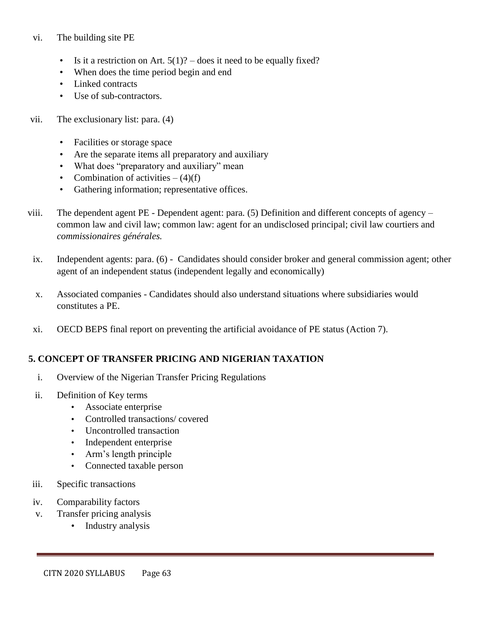#### vi. The building site PE

- Is it a restriction on Art.  $5(1)$ ? does it need to be equally fixed?
- When does the time period begin and end
- Linked contracts
- Use of sub-contractors.
- vii. The exclusionary list: para. (4)
	- Facilities or storage space
	- Are the separate items all preparatory and auxiliary
	- What does "preparatory and auxiliary" mean
	- Combination of activities  $(4)(f)$
	- Gathering information; representative offices.
- viii. The dependent agent PE Dependent agent: para. (5) Definition and different concepts of agency common law and civil law; common law: agent for an undisclosed principal; civil law courtiers and *commissionaires générales.*
- ix. Independent agents: para. (6) Candidates should consider broker and general commission agent; other agent of an independent status (independent legally and economically)
- x. Associated companies Candidates should also understand situations where subsidiaries would constitutes a PE.
- xi. OECD BEPS final report on preventing the artificial avoidance of PE status (Action 7).

### **5. CONCEPT OF TRANSFER PRICING AND NIGERIAN TAXATION**

- i. Overview of the Nigerian Transfer Pricing Regulations
- ii. Definition of Key terms
	- Associate enterprise
	- Controlled transactions/ covered
	- Uncontrolled transaction
	- Independent enterprise
	- Arm's length principle
	- Connected taxable person
- iii. Specific transactions
- iv. Comparability factors
- v. Transfer pricing analysis
	- Industry analysis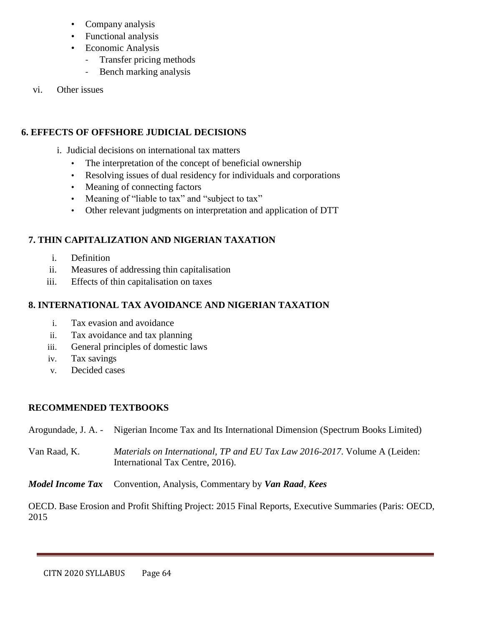- Company analysis
- Functional analysis
- Economic Analysis
	- Transfer pricing methods
	- Bench marking analysis
- vi. Other issues

## **6. EFFECTS OF OFFSHORE JUDICIAL DECISIONS**

- i. Judicial decisions on international tax matters
	- The interpretation of the concept of beneficial ownership
	- Resolving issues of dual residency for individuals and corporations
	- Meaning of connecting factors
	- Meaning of "liable to tax" and "subject to tax"
	- Other relevant judgments on interpretation and application of DTT

# **7. THIN CAPITALIZATION AND NIGERIAN TAXATION**

- i. Definition
- ii. Measures of addressing thin capitalisation
- iii. Effects of thin capitalisation on taxes

## **8. INTERNATIONAL TAX AVOIDANCE AND NIGERIAN TAXATION**

- i. Tax evasion and avoidance
- ii. Tax avoidance and tax planning
- iii. General principles of domestic laws
- iv. Tax savings
- v. Decided cases

### **RECOMMENDED TEXTBOOKS**

Arogundade, J. A. - Nigerian Income Tax and Its International Dimension (Spectrum Books Limited)

Van Raad, K. *Materials on International, TP and EU Tax Law 2016-2017*. Volume A (Leiden: International Tax Centre, 2016).

*Model Income Tax* Convention, Analysis, Commentary by *Van Raad*, *Kees*

OECD. Base Erosion and Profit Shifting Project: 2015 Final Reports, Executive Summaries (Paris: OECD, 2015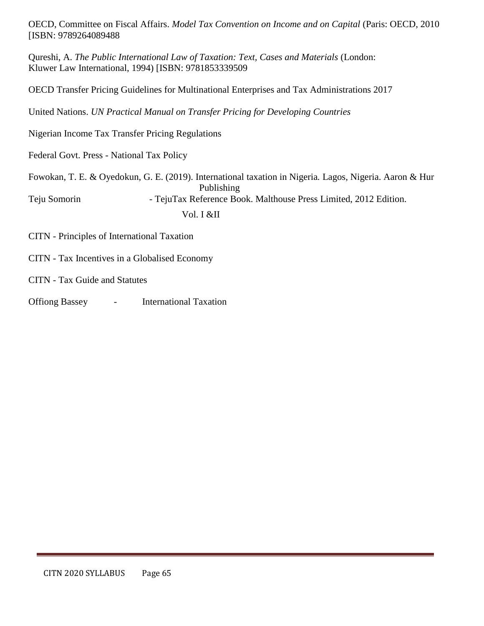OECD, Committee on Fiscal Affairs. *Model Tax Convention on Income and on Capital* (Paris: OECD, 2010 [ISBN: 9789264089488

Qureshi, A. *The Public International Law of Taxation: Text, Cases and Materials* (London: Kluwer Law International, 1994) [ISBN: 9781853339509

OECD Transfer Pricing Guidelines for Multinational Enterprises and Tax Administrations 2017

United Nations. *UN Practical Manual on Transfer Pricing for Developing Countries*

Nigerian Income Tax Transfer Pricing Regulations

Federal Govt. Press - National Tax Policy

|              | Fowokan, T. E. & Oyedokun, G. E. (2019). International taxation in Nigeria. Lagos, Nigeria. Aaron & Hur |
|--------------|---------------------------------------------------------------------------------------------------------|
|              | Publishing                                                                                              |
| Teju Somorin | - TejuTax Reference Book. Malthouse Press Limited, 2012 Edition.                                        |
|              | Vol. I &II                                                                                              |

CITN - Principles of International Taxation

CITN - Tax Incentives in a Globalised Economy

CITN - Tax Guide and Statutes

Offiong Bassey - International Taxation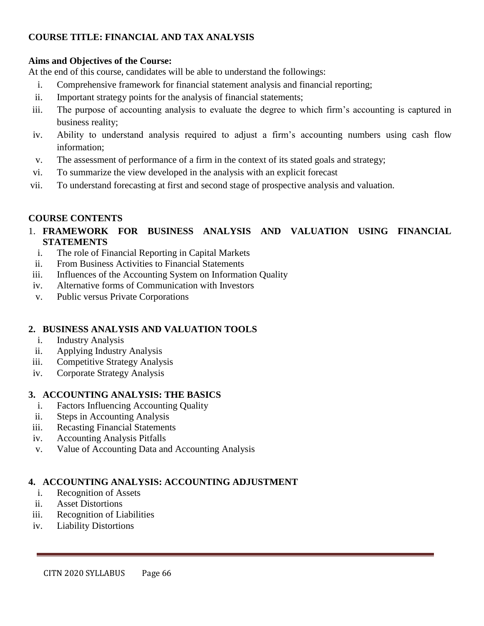## **COURSE TITLE: FINANCIAL AND TAX ANALYSIS**

### **Aims and Objectives of the Course:**

At the end of this course, candidates will be able to understand the followings:

- i. Comprehensive framework for financial statement analysis and financial reporting;
- ii. Important strategy points for the analysis of financial statements;
- iii. The purpose of accounting analysis to evaluate the degree to which firm's accounting is captured in business reality;
- iv. Ability to understand analysis required to adjust a firm's accounting numbers using cash flow information;
- v. The assessment of performance of a firm in the context of its stated goals and strategy;
- vi. To summarize the view developed in the analysis with an explicit forecast
- vii. To understand forecasting at first and second stage of prospective analysis and valuation.

### **COURSE CONTENTS**

### 1. **FRAMEWORK FOR BUSINESS ANALYSIS AND VALUATION USING FINANCIAL STATEMENTS**

- i. The role of Financial Reporting in Capital Markets
- ii. From Business Activities to Financial Statements
- iii. Influences of the Accounting System on Information Quality
- iv. Alternative forms of Communication with Investors
- v. Public versus Private Corporations

### **2. BUSINESS ANALYSIS AND VALUATION TOOLS**

- i. Industry Analysis
- ii. Applying Industry Analysis
- iii. Competitive Strategy Analysis
- iv. Corporate Strategy Analysis

### **3. ACCOUNTING ANALYSIS: THE BASICS**

- i. Factors Influencing Accounting Quality
- ii. Steps in Accounting Analysis
- iii. Recasting Financial Statements
- iv. Accounting Analysis Pitfalls
- v. Value of Accounting Data and Accounting Analysis

### **4. ACCOUNTING ANALYSIS: ACCOUNTING ADJUSTMENT**

- i. Recognition of Assets
- ii. Asset Distortions
- iii. Recognition of Liabilities
- iv. Liability Distortions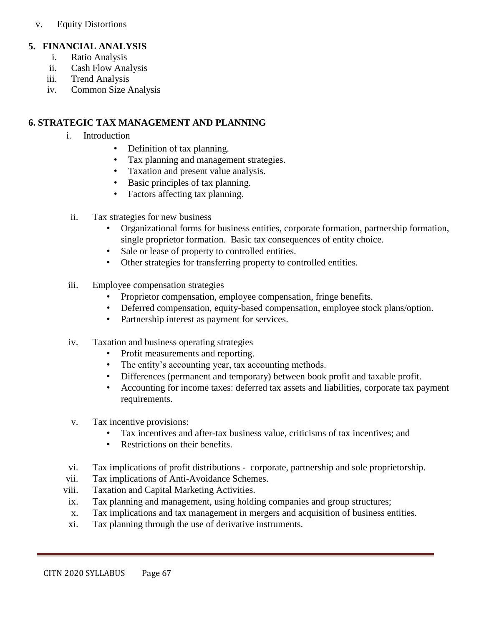v. Equity Distortions

### **5. FINANCIAL ANALYSIS**

- i. Ratio Analysis
- ii. Cash Flow Analysis
- iii. Trend Analysis
- iv. Common Size Analysis

#### **6. STRATEGIC TAX MANAGEMENT AND PLANNING**

- i. Introduction
	- Definition of tax planning.
	- Tax planning and management strategies.
	- Taxation and present value analysis.
	- Basic principles of tax planning.
	- Factors affecting tax planning.
- ii. Tax strategies for new business
	- Organizational forms for business entities, corporate formation, partnership formation, single proprietor formation. Basic tax consequences of entity choice.
	- Sale or lease of property to controlled entities.
	- Other strategies for transferring property to controlled entities.
- iii. Employee compensation strategies
	- Proprietor compensation, employee compensation, fringe benefits.
	- Deferred compensation, equity-based compensation, employee stock plans/option.
	- Partnership interest as payment for services.
- iv. Taxation and business operating strategies
	- Profit measurements and reporting.
	- The entity's accounting year, tax accounting methods.
	- Differences (permanent and temporary) between book profit and taxable profit.
	- Accounting for income taxes: deferred tax assets and liabilities, corporate tax payment requirements.
- v. Tax incentive provisions:
	- Tax incentives and after-tax business value, criticisms of tax incentives; and
	- Restrictions on their benefits.
- vi. Tax implications of profit distributions corporate, partnership and sole proprietorship.
- vii. Tax implications of Anti-Avoidance Schemes.
- viii. Taxation and Capital Marketing Activities.
- ix. Tax planning and management, using holding companies and group structures;
- x. Tax implications and tax management in mergers and acquisition of business entities.
- xi. Tax planning through the use of derivative instruments.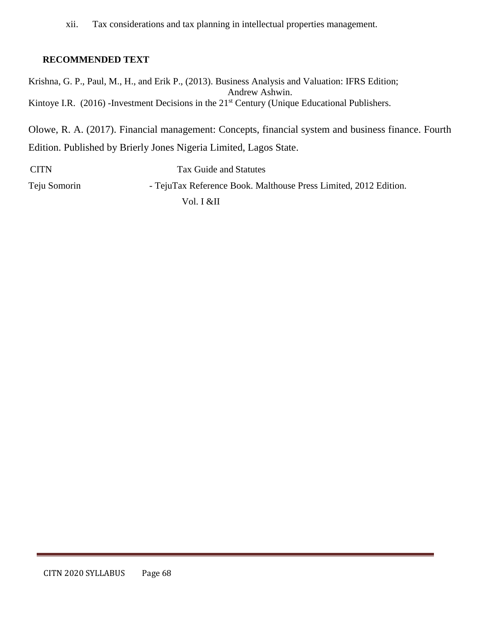xii. Tax considerations and tax planning in intellectual properties management.

### **RECOMMENDED TEXT**

Krishna, G. P., Paul, M., H., and Erik P., (2013). Business Analysis and Valuation: IFRS Edition; Andrew Ashwin. Kintoye I.R. (2016) -Investment Decisions in the 21<sup>st</sup> Century (Unique Educational Publishers.

Olowe, R. A. (2017). Financial management: Concepts, financial system and business finance. Fourth Edition. Published by Brierly Jones Nigeria Limited, Lagos State.

 CITN Tax Guide and Statutes Teju Somorin - TejuTax Reference Book. Malthouse Press Limited, 2012 Edition. Vol. I &II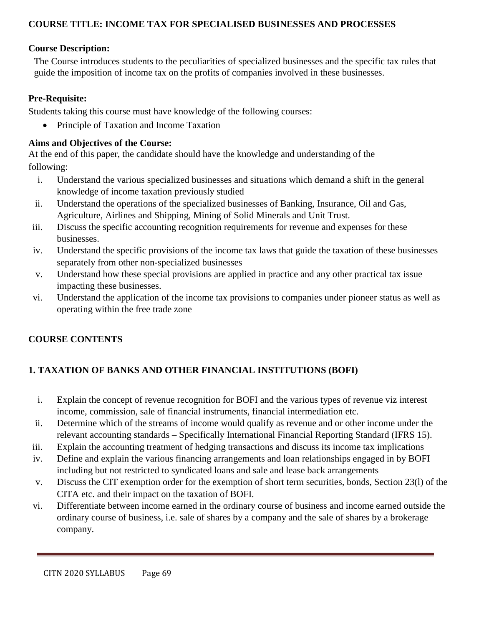### **COURSE TITLE: INCOME TAX FOR SPECIALISED BUSINESSES AND PROCESSES**

### **Course Description:**

The Course introduces students to the peculiarities of specialized businesses and the specific tax rules that guide the imposition of income tax on the profits of companies involved in these businesses.

## **Pre-Requisite:**

Students taking this course must have knowledge of the following courses:

• Principle of Taxation and Income Taxation

# **Aims and Objectives of the Course:**

At the end of this paper, the candidate should have the knowledge and understanding of the following:

- i. Understand the various specialized businesses and situations which demand a shift in the general knowledge of income taxation previously studied
- ii. Understand the operations of the specialized businesses of Banking, Insurance, Oil and Gas, Agriculture, Airlines and Shipping, Mining of Solid Minerals and Unit Trust.
- iii. Discuss the specific accounting recognition requirements for revenue and expenses for these businesses.
- iv. Understand the specific provisions of the income tax laws that guide the taxation of these businesses separately from other non-specialized businesses
- v. Understand how these special provisions are applied in practice and any other practical tax issue impacting these businesses.
- vi. Understand the application of the income tax provisions to companies under pioneer status as well as operating within the free trade zone

# **COURSE CONTENTS**

# **1. TAXATION OF BANKS AND OTHER FINANCIAL INSTITUTIONS (BOFI)**

- i. Explain the concept of revenue recognition for BOFI and the various types of revenue viz interest income, commission, sale of financial instruments, financial intermediation etc.
- ii. Determine which of the streams of income would qualify as revenue and or other income under the relevant accounting standards – Specifically International Financial Reporting Standard (IFRS 15).
- iii. Explain the accounting treatment of hedging transactions and discuss its income tax implications
- iv. Define and explain the various financing arrangements and loan relationships engaged in by BOFI including but not restricted to syndicated loans and sale and lease back arrangements
- v. Discuss the CIT exemption order for the exemption of short term securities, bonds, Section 23(l) of the CITA etc. and their impact on the taxation of BOFI.
- vi. Differentiate between income earned in the ordinary course of business and income earned outside the ordinary course of business, i.e. sale of shares by a company and the sale of shares by a brokerage company.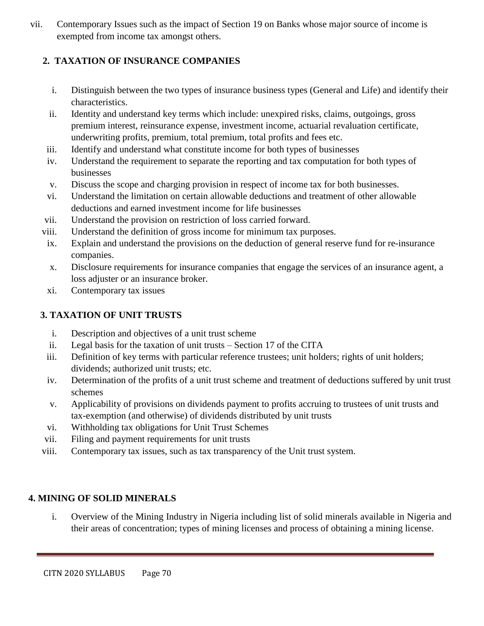vii. Contemporary Issues such as the impact of Section 19 on Banks whose major source of income is exempted from income tax amongst others.

# **2. TAXATION OF INSURANCE COMPANIES**

- i. Distinguish between the two types of insurance business types (General and Life) and identify their characteristics.
- ii. Identity and understand key terms which include: unexpired risks, claims, outgoings, gross premium interest, reinsurance expense, investment income, actuarial revaluation certificate, underwriting profits, premium, total premium, total profits and fees etc.
- iii. Identify and understand what constitute income for both types of businesses
- iv. Understand the requirement to separate the reporting and tax computation for both types of businesses
- v. Discuss the scope and charging provision in respect of income tax for both businesses.
- vi. Understand the limitation on certain allowable deductions and treatment of other allowable deductions and earned investment income for life businesses
- vii. Understand the provision on restriction of loss carried forward.
- viii. Understand the definition of gross income for minimum tax purposes.
- ix. Explain and understand the provisions on the deduction of general reserve fund for re-insurance companies.
- x. Disclosure requirements for insurance companies that engage the services of an insurance agent, a loss adjuster or an insurance broker.
- xi. Contemporary tax issues

# **3. TAXATION OF UNIT TRUSTS**

- i. Description and objectives of a unit trust scheme
- ii. Legal basis for the taxation of unit trusts Section 17 of the CITA
- iii. Definition of key terms with particular reference trustees; unit holders; rights of unit holders; dividends; authorized unit trusts; etc.
- iv. Determination of the profits of a unit trust scheme and treatment of deductions suffered by unit trust schemes
- v. Applicability of provisions on dividends payment to profits accruing to trustees of unit trusts and tax-exemption (and otherwise) of dividends distributed by unit trusts
- vi. Withholding tax obligations for Unit Trust Schemes
- vii. Filing and payment requirements for unit trusts
- viii. Contemporary tax issues, such as tax transparency of the Unit trust system.

# **4. MINING OF SOLID MINERALS**

i. Overview of the Mining Industry in Nigeria including list of solid minerals available in Nigeria and their areas of concentration; types of mining licenses and process of obtaining a mining license.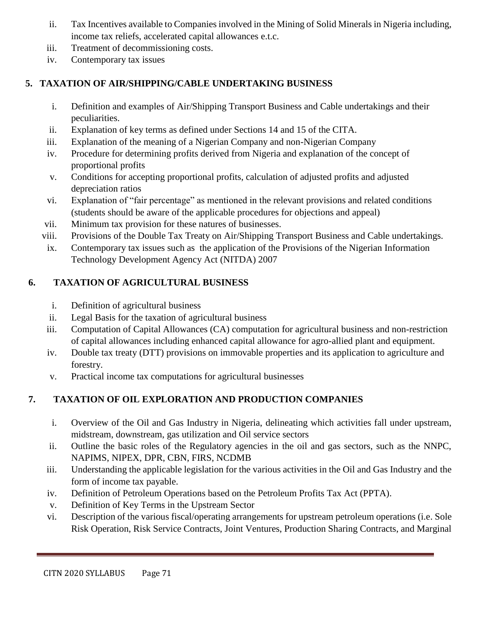- ii. Tax Incentives available to Companies involved in the Mining of Solid Minerals in Nigeria including, income tax reliefs, accelerated capital allowances e.t.c.
- iii. Treatment of decommissioning costs.
- iv. Contemporary tax issues

# **5. TAXATION OF AIR/SHIPPING/CABLE UNDERTAKING BUSINESS**

- i. Definition and examples of Air/Shipping Transport Business and Cable undertakings and their peculiarities.
- ii. Explanation of key terms as defined under Sections 14 and 15 of the CITA.
- iii. Explanation of the meaning of a Nigerian Company and non-Nigerian Company
- iv. Procedure for determining profits derived from Nigeria and explanation of the concept of proportional profits
- v. Conditions for accepting proportional profits, calculation of adjusted profits and adjusted depreciation ratios
- vi. Explanation of "fair percentage" as mentioned in the relevant provisions and related conditions (students should be aware of the applicable procedures for objections and appeal)
- vii. Minimum tax provision for these natures of businesses.
- viii. Provisions of the Double Tax Treaty on Air/Shipping Transport Business and Cable undertakings.
- ix. Contemporary tax issues such as the application of the Provisions of the Nigerian Information Technology Development Agency Act (NITDA) 2007

# **6. TAXATION OF AGRICULTURAL BUSINESS**

- i. Definition of agricultural business
- ii. Legal Basis for the taxation of agricultural business
- iii. Computation of Capital Allowances (CA) computation for agricultural business and non-restriction of capital allowances including enhanced capital allowance for agro-allied plant and equipment.
- iv. Double tax treaty (DTT) provisions on immovable properties and its application to agriculture and forestry.
- v. Practical income tax computations for agricultural businesses

# **7. TAXATION OF OIL EXPLORATION AND PRODUCTION COMPANIES**

- i. Overview of the Oil and Gas Industry in Nigeria, delineating which activities fall under upstream, midstream, downstream, gas utilization and Oil service sectors
- ii. Outline the basic roles of the Regulatory agencies in the oil and gas sectors, such as the NNPC, NAPIMS, NIPEX, DPR, CBN, FIRS, NCDMB
- iii. Understanding the applicable legislation for the various activities in the Oil and Gas Industry and the form of income tax payable.
- iv. Definition of Petroleum Operations based on the Petroleum Profits Tax Act (PPTA).
- v. Definition of Key Terms in the Upstream Sector
- vi. Description of the various fiscal/operating arrangements for upstream petroleum operations (i.e. Sole Risk Operation, Risk Service Contracts, Joint Ventures, Production Sharing Contracts, and Marginal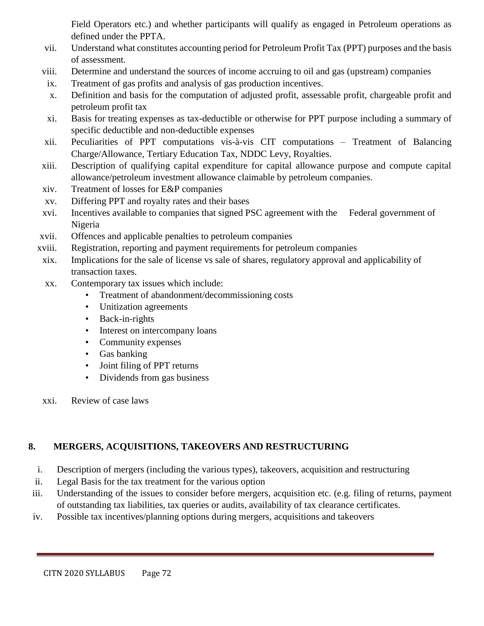Field Operators etc.) and whether participants will qualify as engaged in Petroleum operations as defined under the PPTA.

- vii. Understand what constitutes accounting period for Petroleum Profit Tax (PPT) purposes and the basis of assessment.
- viii. Determine and understand the sources of income accruing to oil and gas (upstream) companies
- ix. Treatment of gas profits and analysis of gas production incentives.
- x. Definition and basis for the computation of adjusted profit, assessable profit, chargeable profit and petroleum profit tax
- xi. Basis for treating expenses as tax-deductible or otherwise for PPT purpose including a summary of specific deductible and non-deductible expenses
- xii. Peculiarities of PPT computations vis-à-vis CIT computations Treatment of Balancing Charge/Allowance, Tertiary Education Tax, NDDC Levy, Royalties.
- xiii. Description of qualifying capital expenditure for capital allowance purpose and compute capital allowance/petroleum investment allowance claimable by petroleum companies.
- xiv. Treatment of losses for E&P companies
- xv. Differing PPT and royalty rates and their bases
- xvi. Incentives available to companies that signed PSC agreement with the Federal government of Nigeria
- xvii. Offences and applicable penalties to petroleum companies
- xviii. Registration, reporting and payment requirements for petroleum companies
- xix. Implications for the sale of license vs sale of shares, regulatory approval and applicability of transaction taxes.
- xx. Contemporary tax issues which include:
	- Treatment of abandonment/decommissioning costs
	- Unitization agreements
	- Back-in-rights
	- Interest on intercompany loans
	- Community expenses
	- Gas banking
	- Joint filing of PPT returns
	- Dividends from gas business
- xxi. Review of case laws

# **8. MERGERS, ACQUISITIONS, TAKEOVERS AND RESTRUCTURING**

- i. Description of mergers (including the various types), takeovers, acquisition and restructuring
- ii. Legal Basis for the tax treatment for the various option
- iii. Understanding of the issues to consider before mergers, acquisition etc. (e.g. filing of returns, payment of outstanding tax liabilities, tax queries or audits, availability of tax clearance certificates.
- iv. Possible tax incentives/planning options during mergers, acquisitions and takeovers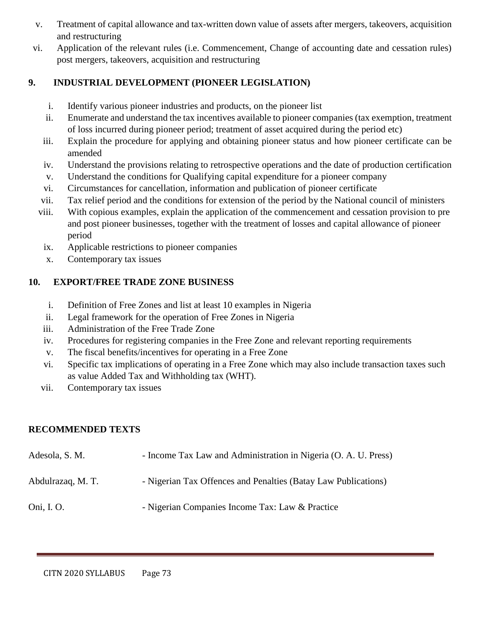- v. Treatment of capital allowance and tax-written down value of assets after mergers, takeovers, acquisition and restructuring
- vi. Application of the relevant rules (i.e. Commencement, Change of accounting date and cessation rules) post mergers, takeovers, acquisition and restructuring

## **9. INDUSTRIAL DEVELOPMENT (PIONEER LEGISLATION)**

- i. Identify various pioneer industries and products, on the pioneer list
- ii. Enumerate and understand the tax incentives available to pioneer companies (tax exemption, treatment of loss incurred during pioneer period; treatment of asset acquired during the period etc)
- iii. Explain the procedure for applying and obtaining pioneer status and how pioneer certificate can be amended
- iv. Understand the provisions relating to retrospective operations and the date of production certification
- v. Understand the conditions for Qualifying capital expenditure for a pioneer company
- vi. Circumstances for cancellation, information and publication of pioneer certificate
- vii. Tax relief period and the conditions for extension of the period by the National council of ministers
- viii. With copious examples, explain the application of the commencement and cessation provision to pre and post pioneer businesses, together with the treatment of losses and capital allowance of pioneer period
	- ix. Applicable restrictions to pioneer companies
	- x. Contemporary tax issues

## **10. EXPORT/FREE TRADE ZONE BUSINESS**

- i. Definition of Free Zones and list at least 10 examples in Nigeria
- ii. Legal framework for the operation of Free Zones in Nigeria
- iii. Administration of the Free Trade Zone
- iv. Procedures for registering companies in the Free Zone and relevant reporting requirements
- v. The fiscal benefits/incentives for operating in a Free Zone
- vi. Specific tax implications of operating in a Free Zone which may also include transaction taxes such as value Added Tax and Withholding tax (WHT).
- vii. Contemporary tax issues

## **RECOMMENDED TEXTS**

| Adesola, S. M.    | - Income Tax Law and Administration in Nigeria (O. A. U. Press) |
|-------------------|-----------------------------------------------------------------|
| Abdulrazaq, M. T. | - Nigerian Tax Offences and Penalties (Batay Law Publications)  |
| Oni, I. O.        | - Nigerian Companies Income Tax: Law & Practice                 |